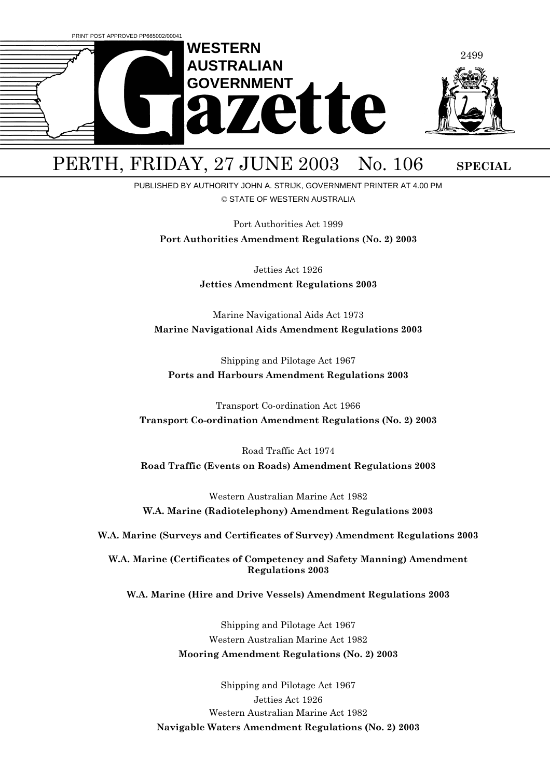

# PERTH, FRIDAY, 27 JUNE 2003 No. 106 SPECIAL

PUBLISHED BY AUTHORITY JOHN A. STRIJK, GOVERNMENT PRINTER AT 4.00 PM © STATE OF WESTERN AUSTRALIA

Port Authorities Act 1999

**Port Authorities Amendment Regulations (No. 2) 2003**

Jetties Act 1926 **Jetties Amendment Regulations 2003**

Marine Navigational Aids Act 1973 **Marine Navigational Aids Amendment Regulations 2003**

Shipping and Pilotage Act 1967 **Ports and Harbours Amendment Regulations 2003**

Transport Co-ordination Act 1966 **Transport Co-ordination Amendment Regulations (No. 2) 2003**

Road Traffic Act 1974 **Road Traffic (Events on Roads) Amendment Regulations 2003**

Western Australian Marine Act 1982 **W.A. Marine (Radiotelephony) Amendment Regulations 2003**

**W.A. Marine (Surveys and Certificates of Survey) Amendment Regulations 2003**

**W.A. Marine (Certificates of Competency and Safety Manning) Amendment Regulations 2003**

**W.A. Marine (Hire and Drive Vessels) Amendment Regulations 2003**

Shipping and Pilotage Act 1967 Western Australian Marine Act 1982 **Mooring Amendment Regulations (No. 2) 2003**

Shipping and Pilotage Act 1967 Jetties Act 1926 Western Australian Marine Act 1982 **Navigable Waters Amendment Regulations (No. 2) 2003**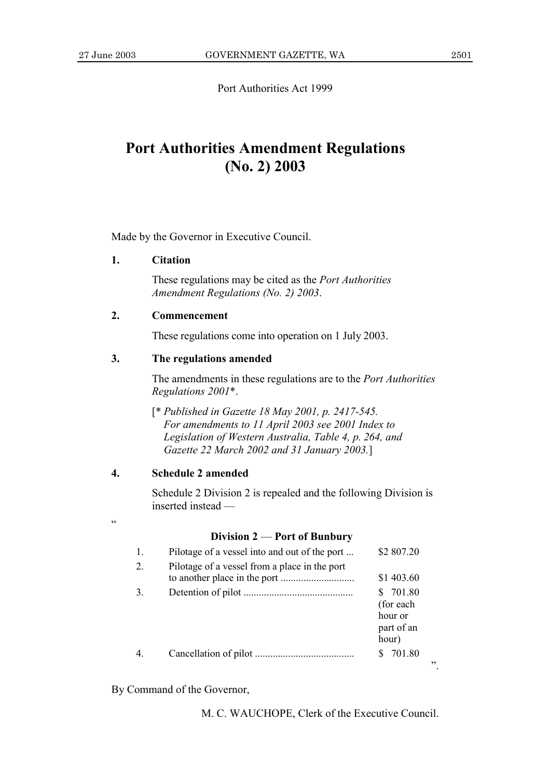Port Authorities Act 1999

# **Port Authorities Amendment Regulations**  $(No. 2) 2003$

Made by the Governor in Executive Council.

#### $1<sup>1</sup>$ **Citation**

These regulations may be cited as the *Port Authorities* Amendment Regulations (No. 2) 2003.

#### $2.$ Commencement

These regulations come into operation on 1 July 2003.

#### $3.$ The regulations amended

The amendments in these regulations are to the *Port Authorities* Regulations 2001\*.

[\* Published in Gazette 18 May 2001, p. 2417-545.] For amendments to 11 April 2003 see 2001 Index to Legislation of Western Australia, Table 4, p. 264, and Gazette 22 March 2002 and 31 January 2003.]

#### $\overline{4}$ . **Schedule 2 amended**

Schedule 2 Division 2 is repealed and the following Division is inserted instead —

 $\epsilon$ 

### Division  $2$  – Port of Bunbury

| 1. | Pilotage of a vessel into and out of the port | \$2 807.20                                               |
|----|-----------------------------------------------|----------------------------------------------------------|
| 2. | Pilotage of a vessel from a place in the port | \$1 403.60                                               |
| 3. |                                               | \$ 701.80<br>(for each<br>hour or<br>part of an<br>hour) |
|    |                                               | 701.80                                                   |

By Command of the Governor,

M. C. WAUCHOPE, Clerk of the Executive Council.

 $\ddot{\phantom{0}}$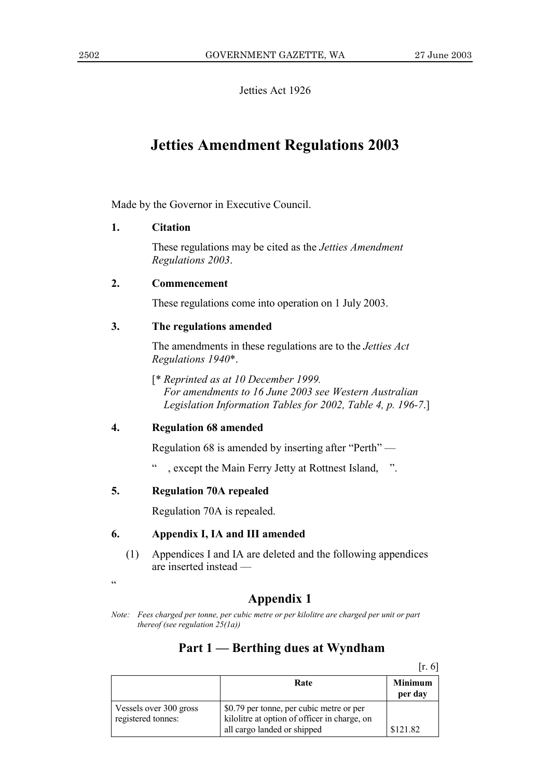Jetties Act 1926

# **Jetties Amendment Regulations 2003**

Made by the Governor in Executive Council.

## **1. Citation**

These regulations may be cited as the *Jetties Amendment Regulations 2003*.

### **2. Commencement**

These regulations come into operation on 1 July 2003.

# **3. The regulations amended**

The amendments in these regulations are to the *Jetties Act Regulations 1940*\*.

[\* *Reprinted as at 10 December 1999. For amendments to 16 June 2003 see Western Australian Legislation Information Tables for 2002, Table 4, p. 196-7*.]

### **4. Regulation 68 amended**

Regulation 68 is amended by inserting after  $"Perth"$  —

, except the Main Ferry Jetty at Rottnest Island,  $\therefore$ 

# **5. Regulation 70A repealed**

Regulation 70A is repealed.

# **6. Appendix I, IA and III amended**

(1) Appendices I and IA are deleted and the following appendices are inserted instead -

ì

# **Appendix 1**

*Note: Fees charged per tonne, per cubic metre or per kilolitre are charged per unit or part thereof (see regulation 25(1a))*

# Part 1 – Berthing dues at Wyndham

 $[r. 6]$ 

|                                              | Rate                                                                                     | <b>Minimum</b><br>per day |
|----------------------------------------------|------------------------------------------------------------------------------------------|---------------------------|
| Vessels over 300 gross<br>registered tonnes: | \$0.79 per tonne, per cubic metre or per<br>kilolitre at option of officer in charge, on |                           |
|                                              | all cargo landed or shipped                                                              | \$121.82                  |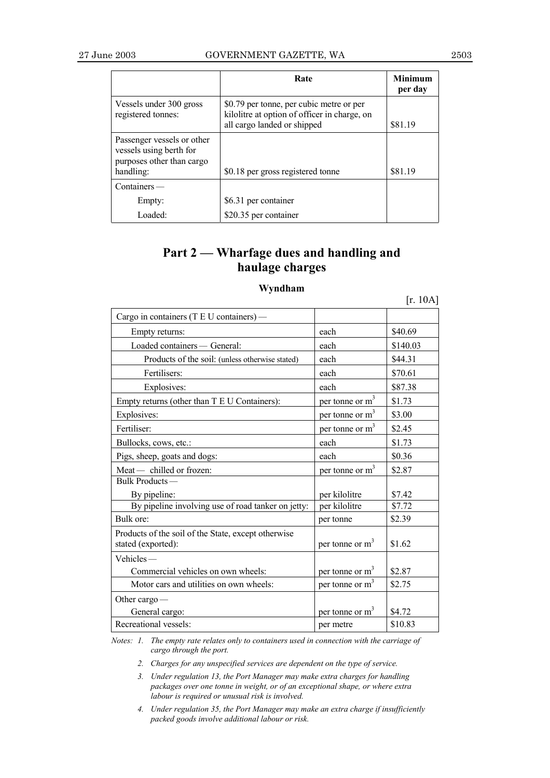|                                                                                                 | Rate                                                                                                                    | <b>Minimum</b><br>per day |
|-------------------------------------------------------------------------------------------------|-------------------------------------------------------------------------------------------------------------------------|---------------------------|
| Vessels under 300 gross<br>registered tonnes:                                                   | \$0.79 per tonne, per cubic metre or per<br>kilolitre at option of officer in charge, on<br>all cargo landed or shipped | \$81.19                   |
| Passenger vessels or other<br>vessels using berth for<br>purposes other than cargo<br>handling: | \$0.18 per gross registered tonne                                                                                       | \$81.19                   |
| $Containers$ —                                                                                  |                                                                                                                         |                           |
| Empty:                                                                                          | \$6.31 per container                                                                                                    |                           |
| Loaded:                                                                                         | \$20.35 per container                                                                                                   |                           |

# Part 2 – Wharfage dues and handling and **haulage charges**

## **Wyndham**

|                                                                           |                             | $[r. 10A]$ |
|---------------------------------------------------------------------------|-----------------------------|------------|
| Cargo in containers (T E U containers) —                                  |                             |            |
| Empty returns:                                                            | each                        | \$40.69    |
| Loaded containers - General:                                              | each                        | \$140.03   |
| Products of the soil: (unless otherwise stated)                           | each                        | \$44.31    |
| Fertilisers:                                                              | each                        | \$70.61    |
| Explosives:                                                               | each                        | \$87.38    |
| Empty returns (other than T E U Containers):                              | per tonne or m <sup>3</sup> | \$1.73     |
| Explosives:                                                               | per tonne or m <sup>3</sup> | \$3.00     |
| Fertiliser:                                                               | per tonne or $m3$           | \$2.45     |
| Bullocks, cows, etc.:                                                     | each                        | \$1.73     |
| Pigs, sheep, goats and dogs:                                              | each                        | \$0.36     |
| Meat- chilled or frozen:                                                  | per tonne or m <sup>3</sup> | \$2.87     |
| Bulk Products-                                                            |                             |            |
| By pipeline:                                                              | per kilolitre               | \$7.42     |
| By pipeline involving use of road tanker on jetty:                        | per kilolitre               | \$7.72     |
| Bulk ore:                                                                 | per tonne                   | \$2.39     |
| Products of the soil of the State, except otherwise<br>stated (exported): | per tonne or $m3$           | \$1.62     |
| $V$ ehicles —                                                             |                             |            |
| Commercial vehicles on own wheels:                                        | per tonne or $m3$           | \$2.87     |
| Motor cars and utilities on own wheels:                                   | per tonne or $m3$           | \$2.75     |
| Other cargo $-$                                                           |                             |            |
| General cargo:                                                            | per tonne or m <sup>3</sup> | \$4.72     |
| Recreational vessels:                                                     | per metre                   | \$10.83    |

*Notes: 1. The empty rate relates only to containers used in connection with the carriage of cargo through the port.*

*2. Charges for any unspecified services are dependent on the type of service.*

*3. Under regulation 13, the Port Manager may make extra charges for handling packages over one tonne in weight, or of an exceptional shape, or where extra labour is required or unusual risk is involved.*

*4. Under regulation 35, the Port Manager may make an extra charge if insufficiently packed goods involve additional labour or risk.*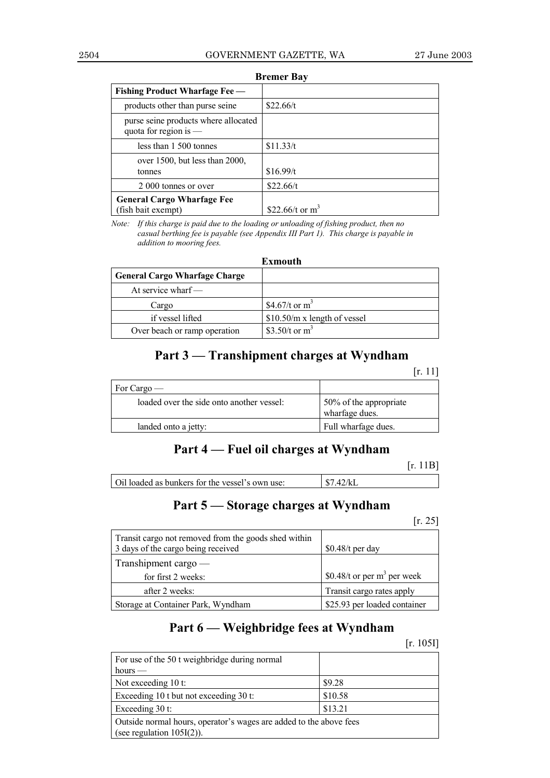| <b>Fishing Product Wharfage Fee —</b>                           |                    |  |
|-----------------------------------------------------------------|--------------------|--|
| products other than purse seine                                 | \$22.66/t          |  |
| purse seine products where allocated<br>quota for region is $-$ |                    |  |
| less than 1 500 tonnes                                          | \$11.33/t          |  |
| over $1500$ , but less than $2000$ ,<br>tonnes                  | \$16.99/t          |  |
| 2 000 tonnes or over                                            | \$22.66/t          |  |
| <b>General Cargo Wharfage Fee</b><br>(fish bait exempt)         | \$22.66/t or $m^3$ |  |

**Bremer Bay**

*Note: If this charge is paid due to the loading or unloading of fishing product, then no casual berthing fee is payable (see Appendix III Part 1). This charge is payable in addition to mooring fees.*

### **Exmouth**

| <b>General Cargo Wharfage Charge</b> |                               |
|--------------------------------------|-------------------------------|
| At service wharf $-$                 |                               |
| Cargo                                | \$4.67/t or $m^3$             |
| if vessel lifted                     | $$10.50/m x$ length of vessel |
| Over beach or ramp operation         | \$3.50/t or $m^3$             |

# Part 3 – Transhipment charges at Wyndham

|                                           | 'r. 1                                    |
|-------------------------------------------|------------------------------------------|
| For Cargo —                               |                                          |
| loaded over the side onto another vessel: | 50% of the appropriate<br>wharfage dues. |
| landed onto a jetty:                      | Full wharfage dues.                      |

# Part 4 – Fuel oil charges at Wyndham

|                                                 | [r. 11B]                  |
|-------------------------------------------------|---------------------------|
| Oil loaded as bunkers for the vessel's own use: | $\frac{1}{37.42}{\rm kL}$ |

# Part 5 – Storage charges at Wyndham

### [r. 25]

| Transit cargo not removed from the goods shed within<br>3 days of the cargo being received | $$0.48/t$ per day             |
|--------------------------------------------------------------------------------------------|-------------------------------|
| Transhipment cargo —                                                                       |                               |
| for first 2 weeks:                                                                         | \$0.48/t or per $m3$ per week |
| after 2 weeks:                                                                             | Transit cargo rates apply     |
| Storage at Container Park, Wyndham                                                         | \$25.93 per loaded container  |

# Part 6 – Weighbridge fees at Wyndham

[r. 105I]

| For use of the 50 t weighbridge during normal                      |         |  |
|--------------------------------------------------------------------|---------|--|
| hours $-$                                                          |         |  |
| Not exceeding 10 t:                                                | \$9.28  |  |
| Exceeding 10 t but not exceeding 30 t:                             | \$10.58 |  |
| Exceeding 30 t:                                                    | \$13.21 |  |
| Outside normal hours, operator's wages are added to the above fees |         |  |
| (see regulation $105I(2)$ ).                                       |         |  |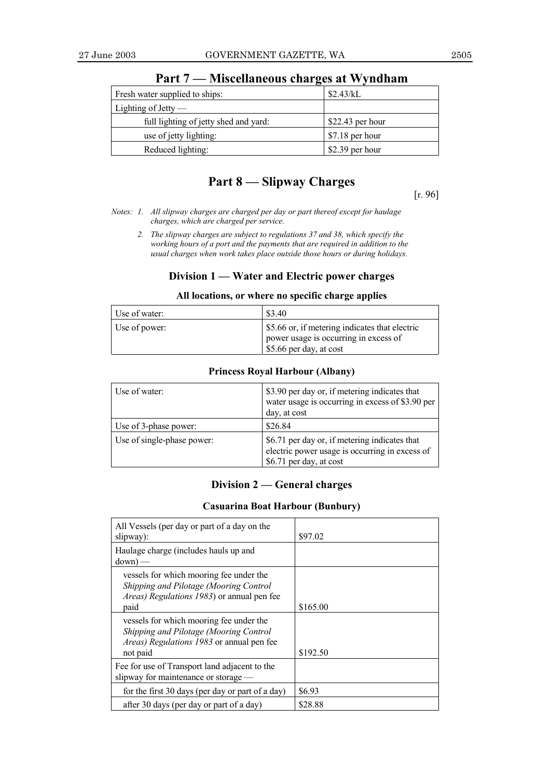| Fresh water supplied to ships:        | \$2.43/kL         |
|---------------------------------------|-------------------|
| Lighting of Jetty $-$                 |                   |
| full lighting of jetty shed and yard: | $$22.43$ per hour |
| use of jetty lighting:                | $$7.18$ per hour  |
| Reduced lighting:                     | \$2.39 per hour   |

Part 7 – Miscellaneous charges at Wyndham

# **Part 8 – Slipway Charges**

[r. 96]

- *Notes: 1. All slipway charges are charged per day or part thereof except for haulage charges, which are charged per service.*
	- *2. The slipway charges are subject to regulations 37 and 38, which specify the working hours of a port and the payments that are required in addition to the usual charges when work takes place outside those hours or during holidays.*

## **Division 1 – Water and Electric power charges**

### **All locations, or where no specific charge applies**

| Use of water: | \$3.40                                                                                                             |
|---------------|--------------------------------------------------------------------------------------------------------------------|
| Use of power: | \$5.66 or, if metering indicates that electric<br>power usage is occurring in excess of<br>\$5.66 per day, at cost |

### **Princess Royal Harbour (Albany)**

| Use of water:              | \$3.90 per day or, if metering indicates that<br>water usage is occurring in excess of \$3.90 per<br>day, at cost          |
|----------------------------|----------------------------------------------------------------------------------------------------------------------------|
| Use of 3-phase power:      | \$26.84                                                                                                                    |
| Use of single-phase power: | \$6.71 per day or, if metering indicates that<br>electric power usage is occurring in excess of<br>\$6.71 per day, at cost |

# **Division 2 – General charges**

### **Casuarina Boat Harbour (Bunbury)**

| All Vessels (per day or part of a day on the<br>slipway):                                                                                                 | \$97.02  |
|-----------------------------------------------------------------------------------------------------------------------------------------------------------|----------|
| Haulage charge (includes hauls up and<br>$down)$ —                                                                                                        |          |
| vessels for which mooring fee under the<br>Shipping and Pilotage (Mooring Control<br>Areas) Regulations 1983) or annual pen fee<br>paid                   | \$165.00 |
| vessels for which mooring fee under the<br>Shipping and Pilotage (Mooring Control<br><i>Areas</i> ) <i>Regulations 1983</i> or annual pen fee<br>not paid | \$192.50 |
| Fee for use of Transport land adjacent to the<br>slipway for maintenance or storage —                                                                     |          |
| for the first 30 days (per day or part of a day)                                                                                                          | \$6.93   |
| after 30 days (per day or part of a day)                                                                                                                  | \$28.88  |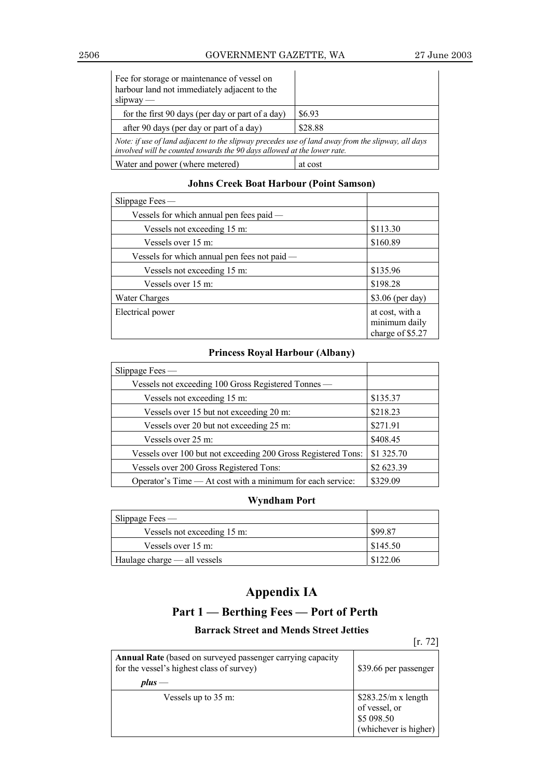## 2506 GOVERNMENT GAZETTE, WA 27 June 2003

l,

| Fee for storage or maintenance of vessel on<br>harbour land not immediately adjacent to the<br>$slipway -$                                                                   |         |  |
|------------------------------------------------------------------------------------------------------------------------------------------------------------------------------|---------|--|
| \$6.93<br>for the first 90 days (per day or part of a day)                                                                                                                   |         |  |
| after 90 days (per day or part of a day)                                                                                                                                     | \$28.88 |  |
| Note: if use of land adjacent to the slipway precedes use of land away from the slipway, all days<br>involved will be counted towards the 90 days allowed at the lower rate. |         |  |
| Water and power (where metered)                                                                                                                                              | at cost |  |

# **Johns Creek Boat Harbour (Point Samson)**

| Slippage Fees $-$                              |                                                      |
|------------------------------------------------|------------------------------------------------------|
| Vessels for which annual pen fees paid —       |                                                      |
| Vessels not exceeding 15 m:                    | \$113.30                                             |
| Vessels over 15 m:                             | \$160.89                                             |
| Vessels for which annual pen fees not paid $-$ |                                                      |
| Vessels not exceeding 15 m:                    | \$135.96                                             |
| Vessels over 15 m:                             | \$198.28                                             |
| Water Charges                                  | \$3.06 (per day)                                     |
| Electrical power                               | at cost, with a<br>minimum daily<br>charge of \$5.27 |

# **Princess Royal Harbour (Albany)**

| Slippage Fees —                                               |            |
|---------------------------------------------------------------|------------|
| Vessels not exceeding 100 Gross Registered Tonnes —           |            |
| Vessels not exceeding 15 m:                                   | \$135.37   |
| Vessels over 15 but not exceeding 20 m:                       | \$218.23   |
| Vessels over 20 but not exceeding 25 m:                       | \$271.91   |
| Vessels over 25 m:                                            | \$408.45   |
| Vessels over 100 but not exceeding 200 Gross Registered Tons: | \$1 325.70 |
| Vessels over 200 Gross Registered Tons:                       | \$2 623.39 |
| Operator's Time — At cost with a minimum for each service:    | \$329.09   |

# **Wyndham Port**

| Slippage Fees $-$            |          |
|------------------------------|----------|
| Vessels not exceeding 15 m:  | \$99.87  |
| Vessels over 15 m:           | \$145.50 |
| Haulage charge — all vessels | \$122.06 |

# **Appendix IA**

# **Part 1 – Berthing Fees – Port of Perth**

# **Barrack Street and Mends Street Jetties**

[r. 72]

| <b>Annual Rate</b> (based on surveyed passenger carrying capacity<br>for the vessel's highest class of survey)<br>$plus$ — | \$39.66 per passenger                                                        |
|----------------------------------------------------------------------------------------------------------------------------|------------------------------------------------------------------------------|
| Vessels up to 35 m:                                                                                                        | $$283.25/m x$ length<br>of vessel, or<br>\$5 098.50<br>(whichever is higher) |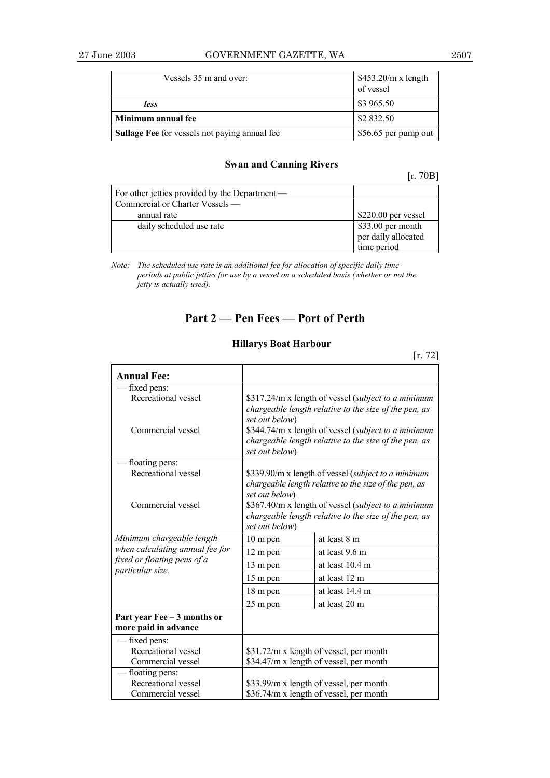| Vessels 35 m and over:                               | $$453.20/m \times length$<br>of vessel |
|------------------------------------------------------|----------------------------------------|
| less                                                 | \$3 965.50                             |
| Minimum annual fee                                   | \$2 832.50                             |
| <b>Sullage Fee</b> for vessels not paying annual fee | \$56.65 per pump out                   |

## **Swan and Canning Rivers**

| 0B |
|----|
|----|

| For other jetties provided by the Department — |                     |
|------------------------------------------------|---------------------|
| Commercial or Charter Vessels —                |                     |
| annual rate                                    | \$220.00 per vessel |
| daily scheduled use rate                       | \$33.00 per month   |
|                                                | per daily allocated |
|                                                | time period         |

*Note: The scheduled use rate is an additional fee for allocation of specific daily time periods at public jetties for use by a vessel on a scheduled basis (whether or not the jetty is actually used).*

# **Part 2 – Pen Fees – Port of Perth**

## **Hillarys Boat Harbour**

|                                                                                                                 |                                                                                                                                | [r. 72]                                                                                                                                                               |
|-----------------------------------------------------------------------------------------------------------------|--------------------------------------------------------------------------------------------------------------------------------|-----------------------------------------------------------------------------------------------------------------------------------------------------------------------|
| <b>Annual Fee:</b>                                                                                              |                                                                                                                                |                                                                                                                                                                       |
| fixed pens:                                                                                                     |                                                                                                                                |                                                                                                                                                                       |
| Recreational vessel                                                                                             |                                                                                                                                | \$317.24/m x length of vessel (subject to a minimum                                                                                                                   |
| Commercial vessel                                                                                               | set out below)<br>set out below)                                                                                               | chargeable length relative to the size of the pen, as<br>\$344.74/m x length of vessel (subject to a minimum<br>chargeable length relative to the size of the pen, as |
| floating pens:                                                                                                  |                                                                                                                                |                                                                                                                                                                       |
| Recreational vessel                                                                                             | \$339.90/m x length of vessel (subject to a minimum<br>chargeable length relative to the size of the pen, as<br>set out below) |                                                                                                                                                                       |
| Commercial vessel                                                                                               | \$367.40/m x length of vessel (subject to a minimum<br>chargeable length relative to the size of the pen, as<br>set out below) |                                                                                                                                                                       |
| Minimum chargeable length<br>when calculating annual fee for<br>fixed or floating pens of a<br>particular size. | $10 \text{ m}$ pen                                                                                                             | at least 8 m                                                                                                                                                          |
|                                                                                                                 | 12 m pen                                                                                                                       | at least 9.6 m                                                                                                                                                        |
|                                                                                                                 | 13 m pen                                                                                                                       | at least 10.4 m                                                                                                                                                       |
|                                                                                                                 | 15 m pen                                                                                                                       | at least 12 m                                                                                                                                                         |
|                                                                                                                 | 18 m pen                                                                                                                       | at least 14.4 m                                                                                                                                                       |
|                                                                                                                 | 25 m pen                                                                                                                       | at least 20 m                                                                                                                                                         |
| Part year Fee - 3 months or                                                                                     |                                                                                                                                |                                                                                                                                                                       |
| more paid in advance                                                                                            |                                                                                                                                |                                                                                                                                                                       |
| - fixed pens:                                                                                                   |                                                                                                                                |                                                                                                                                                                       |
| Recreational vessel                                                                                             | \$31.72/m x length of vessel, per month                                                                                        |                                                                                                                                                                       |
| Commercial vessel                                                                                               | \$34.47/m x length of vessel, per month                                                                                        |                                                                                                                                                                       |
| floating pens:                                                                                                  |                                                                                                                                |                                                                                                                                                                       |
| Recreational vessel                                                                                             |                                                                                                                                | \$33.99/m x length of vessel, per month                                                                                                                               |
| Commercial vessel                                                                                               | \$36.74/m x length of vessel, per month                                                                                        |                                                                                                                                                                       |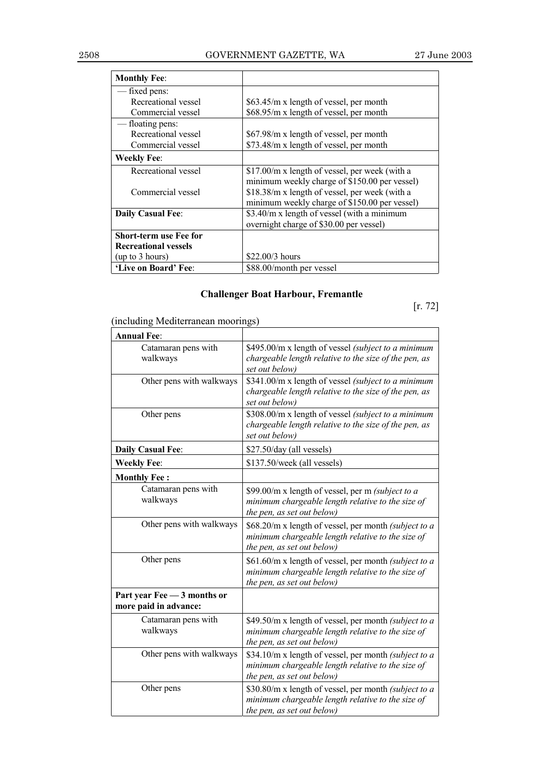| <b>Monthly Fee:</b>           |                                                |
|-------------------------------|------------------------------------------------|
| fixed pens:                   |                                                |
| Recreational vessel           | \$63.45/m x length of vessel, per month        |
| Commercial vessel             | \$68.95/m x length of vessel, per month        |
| — floating pens:              |                                                |
| Recreational vessel           | \$67.98/m x length of vessel, per month        |
| Commercial vessel             | \$73.48/m x length of vessel, per month        |
| <b>Weekly Fee:</b>            |                                                |
| Recreational vessel           | \$17.00/m x length of vessel, per week (with a |
|                               | minimum weekly charge of \$150.00 per vessel)  |
| Commercial vessel             | \$18.38/m x length of vessel, per week (with a |
|                               | minimum weekly charge of \$150.00 per vessel)  |
| <b>Daily Casual Fee:</b>      | \$3.40/m x length of vessel (with a minimum    |
|                               | overnight charge of \$30.00 per vessel)        |
| <b>Short-term use Fee for</b> |                                                |
| <b>Recreational vessels</b>   |                                                |
| (up to 3 hours)               | $$22.00/3$ hours                               |
| 'Live on Board' Fee:          | \$88.00/month per vessel                       |

# **Challenger Boat Harbour, Fremantle**

[r. 72]

| (including Mediterranean moorings)                   |                                                                                                                                          |
|------------------------------------------------------|------------------------------------------------------------------------------------------------------------------------------------------|
| <b>Annual Fee:</b>                                   |                                                                                                                                          |
| Catamaran pens with<br>walkways                      | \$495.00/m x length of vessel (subject to a minimum<br>chargeable length relative to the size of the pen, as<br>set out below)           |
| Other pens with walkways                             | \$341.00/m x length of vessel (subject to a minimum<br>chargeable length relative to the size of the pen, as<br>set out below)           |
| Other pens                                           | \$308.00/m x length of vessel (subject to a minimum<br>chargeable length relative to the size of the pen, as<br>set out below)           |
| <b>Daily Casual Fee:</b>                             | \$27.50/day (all vessels)                                                                                                                |
| <b>Weekly Fee:</b>                                   | \$137.50/week (all vessels)                                                                                                              |
| <b>Monthly Fee:</b>                                  |                                                                                                                                          |
| Catamaran pens with<br>walkways                      | \$99.00/m x length of vessel, per m (subject to a<br>minimum chargeable length relative to the size of<br>the pen, as set out below)     |
| Other pens with walkways                             | \$68.20/m x length of vessel, per month (subject to a<br>minimum chargeable length relative to the size of<br>the pen, as set out below) |
| Other pens                                           | \$61.60/m x length of vessel, per month (subject to a<br>minimum chargeable length relative to the size of<br>the pen, as set out below) |
| Part year Fee - 3 months or<br>more paid in advance: |                                                                                                                                          |
| Catamaran pens with<br>walkways                      | \$49.50/m x length of vessel, per month (subject to a<br>minimum chargeable length relative to the size of<br>the pen, as set out below) |
| Other pens with walkways                             | \$34.10/m x length of vessel, per month (subject to a<br>minimum chargeable length relative to the size of<br>the pen, as set out below) |
| Other pens                                           | \$30.80/m x length of vessel, per month (subject to a<br>minimum chargeable length relative to the size of<br>the pen, as set out below) |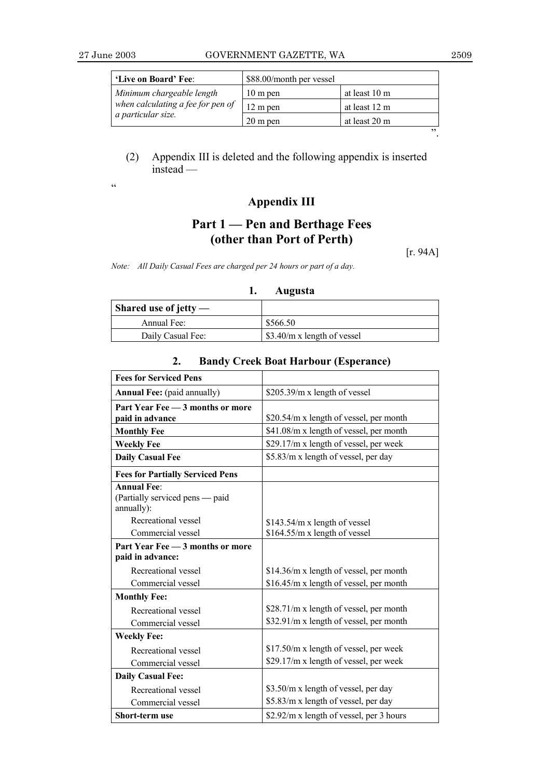| 'Live on Board' Fee:                                    | \$88.00/month per vessel |               |
|---------------------------------------------------------|--------------------------|---------------|
| Minimum chargeable length                               | 10 m pen                 | at least 10 m |
| when calculating a fee for pen of<br>a particular size. | 12 m pen                 | at least 12 m |
|                                                         | $20 \text{ m}$ pen       | at least 20 m |
|                                                         |                          | יי            |

# (2) Appendix III is deleted and the following appendix is inserted  $\iint \cdot \cdot \cdot$

ì

# **Appendix III**

# **Part 1 – Pen and Berthage Fees (other than Port of Perth)**

[r. 94A]

*Note: All Daily Casual Fees are charged per 24 hours or part of a day.*

### **1. Augusta**

| Shared use of jetty $-$ |                             |
|-------------------------|-----------------------------|
| Annual Fee:             | \$566.50                    |
| Daily Casual Fee:       | \$3.40/m x length of vessel |

### **Fees for Serviced Pens Annual Fee:** (paid annually) \$205.39/m x length of vessel **Part Year Fee - 3 months or more paid in advance**  $\left| \frac{$20.54}{m} \right|$  \times \$20.54/m x length of vessel, per month **Monthly Fee** \$41.08/m x length of vessel, per month **Weekly Fee** \$29.17/m x length of vessel, per week **Daily Casual Fee**  $\left| \frac{15.83}{m} \right| \times 1$  s5.83/m x length of vessel, per day **Fees for Partially Serviced Pens Annual Fee**: (Partially serviced pens — paid annually): Recreational vessel Commercial vessel \$143.54/m x length of vessel \$164.55/m x length of vessel **Part Year Fee - 3 months or more paid in advance:** Recreational vessel Commercial vessel \$14.36/m x length of vessel, per month \$16.45/m x length of vessel, per month **Monthly Fee:** Recreational vessel Commercial vessel \$28.71/m x length of vessel, per month \$32.91/m x length of vessel, per month **Weekly Fee:** Recreational vessel Commercial vessel \$17.50/m x length of vessel, per week \$29.17/m x length of vessel, per week **Daily Casual Fee:** Recreational vessel Commercial vessel \$3.50/m x length of vessel, per day \$5.83/m x length of vessel, per day **Short-term use** \$2.92/m x length of vessel, per 3 hours

### **2. Bandy Creek Boat Harbour (Esperance)**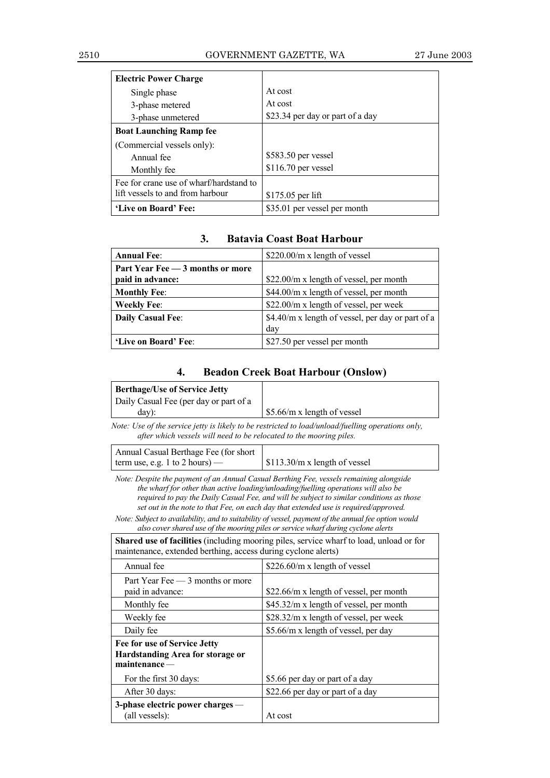| <b>Electric Power Charge</b>            |                                  |
|-----------------------------------------|----------------------------------|
| Single phase                            | At cost                          |
| 3-phase metered                         | At cost                          |
| 3-phase unmetered                       | \$23.34 per day or part of a day |
| <b>Boat Launching Ramp fee</b>          |                                  |
| (Commercial vessels only):              |                                  |
| Annual fee                              | \$583.50 per vessel              |
| Monthly fee                             | \$116.70 per vessel              |
| Fee for crane use of wharf/hardstand to |                                  |
| lift vessels to and from harbour        | \$175.05 per lift                |
| 'Live on Board' Fee:                    | \$35.01 per vessel per month     |

# **3. Batavia Coast Boat Harbour**

| <b>Annual Fee:</b>               | $$220.00/m$ x length of vessel                           |
|----------------------------------|----------------------------------------------------------|
| Part Year Fee - 3 months or more |                                                          |
| paid in advance:                 | \$22.00/m x length of vessel, per month                  |
| <b>Monthly Fee:</b>              | \$44.00/m x length of vessel, per month                  |
| <b>Weekly Fee:</b>               | \$22.00/m x length of vessel, per week                   |
| Daily Casual Fee:                | \$4.40/m x length of vessel, per day or part of a<br>day |
| 'Live on Board' Fee:             | \$27.50 per vessel per month                             |

# **4. Beadon Creek Boat Harbour (Onslow)**

| <b>Berthage/Use of Service Jetty</b>                                                                                                                                                                                                                                                                                                                                                                                                                                                                                                                          |                                                                                                    |  |
|---------------------------------------------------------------------------------------------------------------------------------------------------------------------------------------------------------------------------------------------------------------------------------------------------------------------------------------------------------------------------------------------------------------------------------------------------------------------------------------------------------------------------------------------------------------|----------------------------------------------------------------------------------------------------|--|
| Daily Casual Fee (per day or part of a<br>$day)$ :                                                                                                                                                                                                                                                                                                                                                                                                                                                                                                            | \$5.66/m x length of vessel                                                                        |  |
| after which vessels will need to be relocated to the mooring piles.                                                                                                                                                                                                                                                                                                                                                                                                                                                                                           | Note: Use of the service jetty is likely to be restricted to load/unload/fuelling operations only, |  |
| Annual Casual Berthage Fee (for short<br>\$113.30/m x length of vessel<br>term use, e.g. 1 to 2 hours) $-$                                                                                                                                                                                                                                                                                                                                                                                                                                                    |                                                                                                    |  |
| Note: Despite the payment of an Annual Casual Berthing Fee, vessels remaining alongside<br>the wharf for other than active loading/unloading/fuelling operations will also be<br>required to pay the Daily Casual Fee, and will be subject to similar conditions as those<br>set out in the note to that Fee, on each day that extended use is required/approved.<br>Note: Subject to availability, and to suitability of vessel, payment of the annual fee option would<br>also cover shared use of the mooring piles or service wharf during cyclone alerts |                                                                                                    |  |
| <b>Shared use of facilities</b> (including mooring piles, service wharf to load, unload or for<br>maintenance, extended berthing, access during cyclone alerts)                                                                                                                                                                                                                                                                                                                                                                                               |                                                                                                    |  |
| Annual fee<br>$$226.60/m \times length of vessel$                                                                                                                                                                                                                                                                                                                                                                                                                                                                                                             |                                                                                                    |  |
| Part Year Fee — 3 months or more<br>paid in advance:                                                                                                                                                                                                                                                                                                                                                                                                                                                                                                          | \$22.66/m x length of vessel, per month                                                            |  |
| Monthly fee                                                                                                                                                                                                                                                                                                                                                                                                                                                                                                                                                   | \$45.32/m x length of vessel, per month                                                            |  |
| Weekly fee                                                                                                                                                                                                                                                                                                                                                                                                                                                                                                                                                    | \$28.32/m x length of vessel, per week                                                             |  |
| Daily fee                                                                                                                                                                                                                                                                                                                                                                                                                                                                                                                                                     | \$5.66/m x length of vessel, per day                                                               |  |
| Fee for use of Service Jetty<br>Hardstanding Area for storage or<br>$main$ tenance –                                                                                                                                                                                                                                                                                                                                                                                                                                                                          |                                                                                                    |  |
| For the first 30 days:                                                                                                                                                                                                                                                                                                                                                                                                                                                                                                                                        | \$5.66 per day or part of a day                                                                    |  |
| After 30 days:                                                                                                                                                                                                                                                                                                                                                                                                                                                                                                                                                | \$22.66 per day or part of a day                                                                   |  |
| 3-phase electric power charges -<br>(all vessels):                                                                                                                                                                                                                                                                                                                                                                                                                                                                                                            | At cost                                                                                            |  |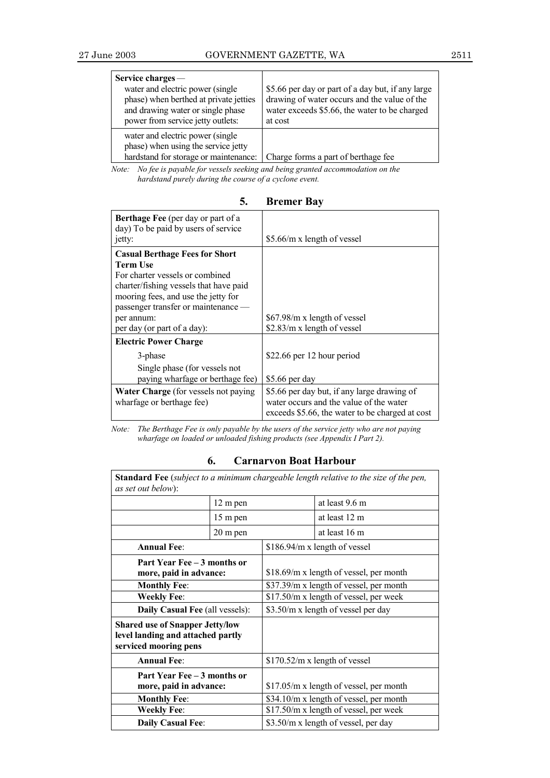| Service charges -<br>water and electric power (single<br>phase) when berthed at private jetties<br>and drawing water or single phase<br>power from service jetty outlets: | \$5.66 per day or part of a day but, if any large<br>drawing of water occurs and the value of the<br>water exceeds \$5.66, the water to be charged<br>at cost |
|---------------------------------------------------------------------------------------------------------------------------------------------------------------------------|---------------------------------------------------------------------------------------------------------------------------------------------------------------|
| water and electric power (single<br>phase) when using the service jetty<br>hardstand for storage or maintenance:                                                          | Charge forms a part of berthage fee                                                                                                                           |

*Note: No fee is payable for vessels seeking and being granted accommodation on the hardstand purely during the course of a cyclone event.*

| 5. | <b>Bremer Bay</b> |  |
|----|-------------------|--|
|----|-------------------|--|

| <b>Berthage Fee</b> (per day or part of a<br>day) To be paid by users of service<br>jetty:                                                                                                                                                                       | \$5.66/m x length of vessel                                                                                                               |
|------------------------------------------------------------------------------------------------------------------------------------------------------------------------------------------------------------------------------------------------------------------|-------------------------------------------------------------------------------------------------------------------------------------------|
| <b>Casual Berthage Fees for Short</b><br><b>Term Use</b><br>For charter vessels or combined<br>charter/fishing vessels that have paid<br>mooring fees, and use the jetty for<br>passenger transfer or maintenance —<br>per annum:<br>per day (or part of a day): | \$67.98/m x length of vessel<br>\$2.83/m x length of vessel                                                                               |
| <b>Electric Power Charge</b>                                                                                                                                                                                                                                     |                                                                                                                                           |
| 3-phase<br>Single phase (for vessels not<br>paying wharfage or berthage fee)                                                                                                                                                                                     | \$22.66 per 12 hour period<br>\$5.66 per day                                                                                              |
| Water Charge (for vessels not paying<br>wharfage or berthage fee)                                                                                                                                                                                                | \$5.66 per day but, if any large drawing of<br>water occurs and the value of the water<br>exceeds \$5.66, the water to be charged at cost |

*Note: The Berthage Fee is only payable by the users of the service jetty who are not paying wharfage on loaded or unloaded fishing products (see Appendix I Part 2).*

| 6.<br><b>Carnaryon Boat Harbour</b> |
|-------------------------------------|
|-------------------------------------|

| <b>Standard Fee</b> (subject to a minimum chargeable length relative to the size of the pen,<br><i>as set out below</i> ): |          |                                        |                                          |
|----------------------------------------------------------------------------------------------------------------------------|----------|----------------------------------------|------------------------------------------|
|                                                                                                                            | 12 m pen |                                        | at least 9.6 m                           |
|                                                                                                                            | 15 m pen |                                        | at least 12 m                            |
|                                                                                                                            | 20 m pen |                                        | at least 16 m                            |
| <b>Annual Fee:</b>                                                                                                         |          |                                        | \$186.94/m x length of vessel            |
| Part Year Fee – 3 months or<br>more, paid in advance:                                                                      |          |                                        | $$18.69/m x$ length of vessel, per month |
| <b>Monthly Fee:</b>                                                                                                        |          |                                        | \$37.39/m x length of vessel, per month  |
| <b>Weekly Fee:</b>                                                                                                         |          |                                        | \$17.50/m x length of vessel, per week   |
| Daily Casual Fee (all vessels):                                                                                            |          |                                        | \$3.50/m x length of vessel per day      |
| <b>Shared use of Snapper Jetty/low</b><br>level landing and attached partly<br>serviced mooring pens                       |          |                                        |                                          |
| <b>Annual Fee:</b>                                                                                                         |          |                                        | $$170.52/m x$ length of vessel           |
| Part Year Fee – 3 months or<br>more, paid in advance:                                                                      |          |                                        | \$17.05/m x length of vessel, per month  |
| <b>Monthly Fee:</b>                                                                                                        |          |                                        | \$34.10/m x length of vessel, per month  |
| <b>Weekly Fee:</b>                                                                                                         |          | \$17.50/m x length of vessel, per week |                                          |
| <b>Daily Casual Fee:</b>                                                                                                   |          |                                        | \$3.50/m x length of vessel, per day     |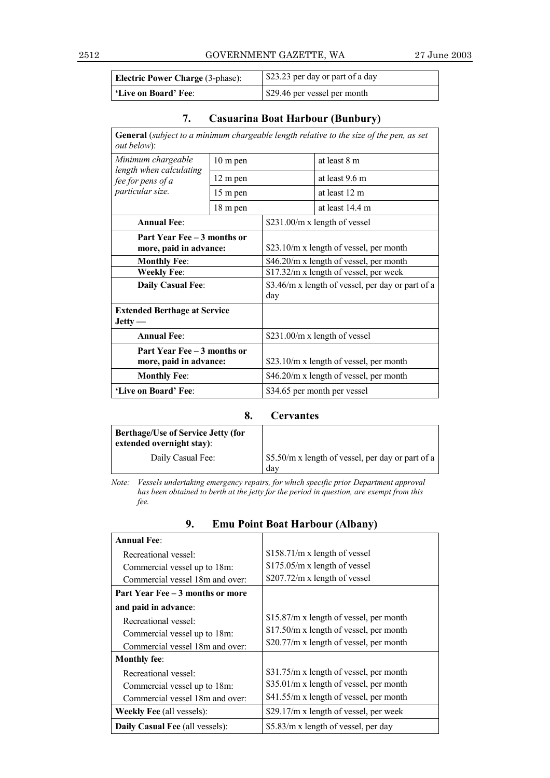### 2512 GOVERNMENT GAZETTE, WA 27 June 2003

| Electric Power Charge (3-phase): | \$23.23 per day or part of a day |
|----------------------------------|----------------------------------|
| 'Live on Board' Fee:             | \$29.46 per vessel per month     |

# **7. Casuarina Boat Harbour (Bunbury)**

| <b>General</b> (subject to a minimum chargeable length relative to the size of the pen, as set<br>out below): |          |     |                                                   |
|---------------------------------------------------------------------------------------------------------------|----------|-----|---------------------------------------------------|
| Minimum chargeable<br>$10 \text{ m}$ pen                                                                      |          |     | at least 8 m                                      |
| length when calculating<br>fee for pens of a                                                                  | 12 m pen |     | at least 9.6 m                                    |
| particular size.                                                                                              | 15 m pen |     | at least 12 m                                     |
|                                                                                                               | 18 m pen |     | at least 14.4 m                                   |
| <b>Annual Fee:</b>                                                                                            |          |     | \$231.00/m x length of vessel                     |
| Part Year Fee – 3 months or<br>more, paid in advance:                                                         |          |     | \$23.10/m x length of vessel, per month           |
| <b>Monthly Fee:</b>                                                                                           |          |     | \$46.20/m x length of vessel, per month           |
| <b>Weekly Fee:</b>                                                                                            |          |     | \$17.32/m x length of vessel, per week            |
| <b>Daily Casual Fee:</b>                                                                                      |          | day | \$3.46/m x length of vessel, per day or part of a |
| <b>Extended Berthage at Service</b><br>$Jetty -$                                                              |          |     |                                                   |
| <b>Annual Fee:</b>                                                                                            |          |     | \$231.00/m x length of vessel                     |
| Part Year Fee – 3 months or<br>more, paid in advance:                                                         |          |     | \$23.10/m x length of vessel, per month           |
| <b>Monthly Fee:</b>                                                                                           |          |     | \$46.20/m x length of vessel, per month           |
| 'Live on Board' Fee:                                                                                          |          |     | \$34.65 per month per vessel                      |

### **8. Cervantes**

| <b>Berthage/Use of Service Jetty (for</b><br>extended overnight stay): |                                                          |
|------------------------------------------------------------------------|----------------------------------------------------------|
| Daily Casual Fee:                                                      | \$5.50/m x length of vessel, per day or part of a<br>dav |

*Note: Vessels undertaking emergency repairs, for which specific prior Department approval has been obtained to berth at the jetty for the period in question, are exempt from this* has been obtained to berth at the jetty for the period in question, are exempt from this *fee.*

| <b>Annual Fee:</b>               |                                          |
|----------------------------------|------------------------------------------|
| Recreational vessel:             | $$158.71/m x$ length of vessel           |
| Commercial vessel up to 18m:     | $$175.05/m x$ length of vessel           |
| Commercial vessel 18m and over:  | \$207.72/m x length of vessel            |
| Part Year Fee – 3 months or more |                                          |
| and paid in advance:             |                                          |
| Recreational vessel:             | $$15.87/m x$ length of vessel, per month |
| Commercial vessel up to 18m:     | \$17.50/m x length of vessel, per month  |
| Commercial vessel 18m and over:  | \$20.77/m x length of vessel, per month  |
| <b>Monthly fee:</b>              |                                          |
| Recreational vessel:             | \$31.75/m x length of vessel, per month  |
| Commercial vessel up to 18m:     | \$35.01/m x length of vessel, per month  |
| Commercial vessel 18m and over:  | \$41.55/m x length of vessel, per month  |
| <b>Weekly Fee (all vessels):</b> | \$29.17/m x length of vessel, per week   |
| Daily Casual Fee (all vessels):  | \$5.83/m x length of vessel, per day     |

# **9. Emu Point Boat Harbour (Albany)**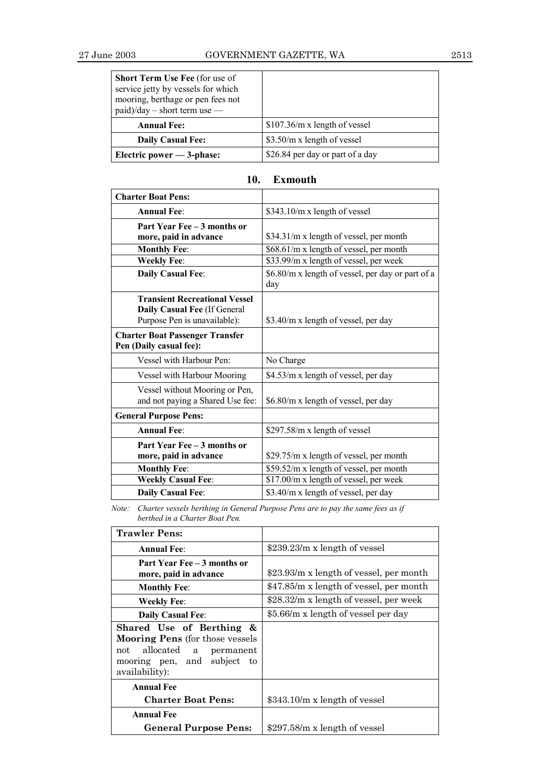| <b>Short Term Use Fee</b> (for use of<br>service jetty by vessels for which<br>mooring, berthage or pen fees not<br>$paid)/day - short term use -$ |                                  |
|----------------------------------------------------------------------------------------------------------------------------------------------------|----------------------------------|
| <b>Annual Fee:</b>                                                                                                                                 | $$107.36/m x$ length of vessel   |
| <b>Daily Casual Fee:</b>                                                                                                                           | \$3.50/m x length of vessel      |
| Electric power $-3$ -phase:                                                                                                                        | \$26.84 per day or part of a day |

| <b>Charter Boat Pens:</b>                                                                            |                                                          |
|------------------------------------------------------------------------------------------------------|----------------------------------------------------------|
| <b>Annual Fee:</b>                                                                                   | \$343.10/m x length of vessel                            |
| Part Year Fee - 3 months or<br>more, paid in advance                                                 | \$34.31/m x length of vessel, per month                  |
| <b>Monthly Fee:</b>                                                                                  | \$68.61/m x length of vessel, per month                  |
| <b>Weekly Fee:</b>                                                                                   | \$33.99/m x length of vessel, per week                   |
| <b>Daily Casual Fee:</b>                                                                             | \$6.80/m x length of vessel, per day or part of a<br>day |
| <b>Transient Recreational Vessel</b><br>Daily Casual Fee (If General<br>Purpose Pen is unavailable): | \$3.40/m x length of vessel, per day                     |
| <b>Charter Boat Passenger Transfer</b><br>Pen (Daily casual fee):                                    |                                                          |
| Vessel with Harbour Pen:                                                                             | No Charge                                                |
| Vessel with Harbour Mooring                                                                          | \$4.53/m x length of vessel, per day                     |
| Vessel without Mooring or Pen,<br>and not paying a Shared Use fee:                                   | \$6.80/m x length of vessel, per day                     |
| <b>General Purpose Pens:</b>                                                                         |                                                          |
| <b>Annual Fee:</b>                                                                                   | \$297.58/m x length of vessel                            |
| Part Year Fee - 3 months or<br>more, paid in advance                                                 | \$29.75/m x length of vessel, per month                  |
| <b>Monthly Fee:</b>                                                                                  | \$59.52/m x length of vessel, per month                  |
| <b>Weekly Casual Fee:</b>                                                                            | \$17.00/m x length of vessel, per week                   |
| <b>Daily Casual Fee:</b>                                                                             | \$3.40/m x length of vessel, per day                     |

# **10. Exmouth**

*Note: Charter vessels berthing in General Purpose Pens are to pay the same fees as if berthed in a Charter Boat Pen.*

| <b>Trawler Pens:</b>                                                                                                                                   |                                         |
|--------------------------------------------------------------------------------------------------------------------------------------------------------|-----------------------------------------|
| <b>Annual Fee:</b>                                                                                                                                     | \$239.23/m x length of vessel           |
| Part Year Fee – 3 months or<br>more, paid in advance                                                                                                   | \$23.93/m x length of vessel, per month |
| <b>Monthly Fee:</b>                                                                                                                                    | \$47.85/m x length of vessel, per month |
| Weekly Fee:                                                                                                                                            | \$28.32/m x length of vessel, per week  |
| <b>Daily Casual Fee:</b>                                                                                                                               | \$5.66/m x length of vessel per day     |
| Shared Use of Berthing &<br><b>Mooring Pens</b> (for those vessels<br>allocated<br>not<br>a permanent<br>mooring pen, and subject to<br>availability): |                                         |
| <b>Annual Fee</b><br><b>Charter Boat Pens:</b>                                                                                                         | $$343.10/m \times length of vessel$     |
| <b>Annual Fee</b><br><b>General Purpose Pens:</b>                                                                                                      | \$297.58/m x length of vessel           |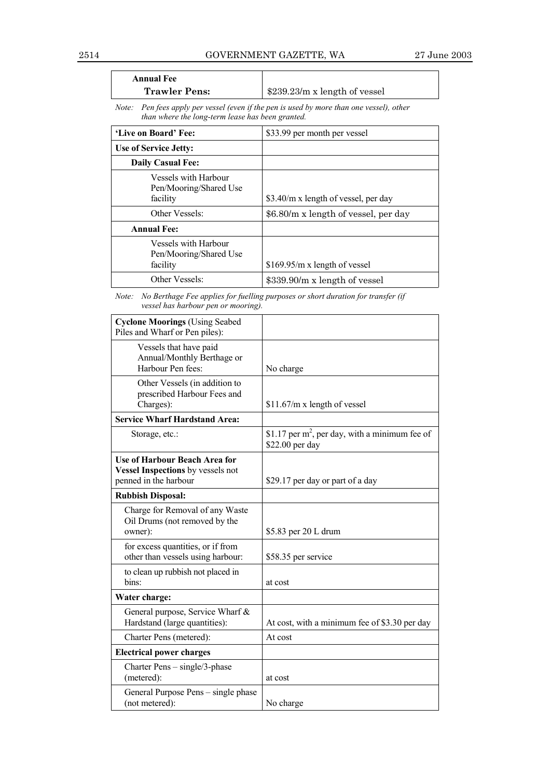| <b>Annual Fee</b>    |                                             |
|----------------------|---------------------------------------------|
| <b>Trawler Pens:</b> | $\frac{1}{2}$ \$239.23/m x length of vessel |

*Note: Pen fees apply per vessel (even if the pen is used by more than one vessel), other than where the long-term lease has been granted.*

| 'Live on Board' Fee:                                       | \$33.99 per month per vessel         |
|------------------------------------------------------------|--------------------------------------|
| Use of Service Jetty:                                      |                                      |
| <b>Daily Casual Fee:</b>                                   |                                      |
| Vessels with Harbour<br>Pen/Mooring/Shared Use<br>facility | \$3.40/m x length of vessel, per day |
| Other Vessels:                                             | \$6.80/m x length of vessel, per day |
| <b>Annual Fee:</b>                                         |                                      |
| Vessels with Harbour<br>Pen/Mooring/Shared Use<br>facility | $$169.95/m x$ length of vessel       |
| Other Vessels:                                             | \$339.90/m x length of vessel        |

*Note: No Berthage Fee applies for fuelling purposes or short duration for transfer (if vessel has harbour pen or mooring).*

| <b>Cyclone Moorings (Using Seabed</b><br>Piles and Wharf or Pen piles):                            |                                                                      |
|----------------------------------------------------------------------------------------------------|----------------------------------------------------------------------|
| Vessels that have paid<br>Annual/Monthly Berthage or<br>Harbour Pen fees:                          | No charge                                                            |
| Other Vessels (in addition to<br>prescribed Harbour Fees and<br>Charges):                          | $$11.67/m x$ length of vessel                                        |
| <b>Service Wharf Hardstand Area:</b>                                                               |                                                                      |
| Storage, etc.:                                                                                     | \$1.17 per $m^2$ , per day, with a minimum fee of<br>\$22.00 per day |
| <b>Use of Harbour Beach Area for</b><br>Vessel Inspections by vessels not<br>penned in the harbour | \$29.17 per day or part of a day                                     |
| <b>Rubbish Disposal:</b>                                                                           |                                                                      |
| Charge for Removal of any Waste<br>Oil Drums (not removed by the<br>owner):                        | \$5.83 per 20 L drum                                                 |
| for excess quantities, or if from<br>other than vessels using harbour:                             | \$58.35 per service                                                  |
| to clean up rubbish not placed in<br>bins:                                                         | at cost                                                              |
| Water charge:                                                                                      |                                                                      |
| General purpose, Service Wharf &<br>Hardstand (large quantities):                                  | At cost, with a minimum fee of \$3.30 per day                        |
| Charter Pens (metered):                                                                            | At cost                                                              |
| <b>Electrical power charges</b>                                                                    |                                                                      |
| Charter Pens - single/3-phase<br>(metered):                                                        | at cost                                                              |
| General Purpose Pens - single phase<br>(not metered):                                              | No charge                                                            |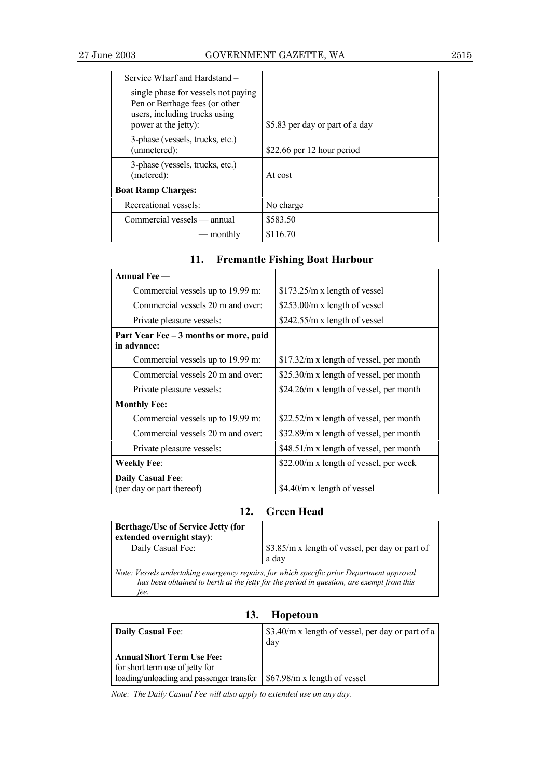| Service Wharf and Hardstand –                                                                                                  |                                 |
|--------------------------------------------------------------------------------------------------------------------------------|---------------------------------|
| single phase for vessels not paying<br>Pen or Berthage fees (or other<br>users, including trucks using<br>power at the jetty): | \$5.83 per day or part of a day |
| 3-phase (vessels, trucks, etc.)<br>(unmetered):                                                                                | \$22.66 per 12 hour period      |
| 3-phase (vessels, trucks, etc.)<br>(metered):                                                                                  | At cost                         |
| <b>Boat Ramp Charges:</b>                                                                                                      |                                 |
| Recreational vessels:                                                                                                          | No charge                       |
| Commercial vessels — annual                                                                                                    | \$583.50                        |
| monthly                                                                                                                        | \$116.70                        |

# **11. Fremantle Fishing Boat Harbour**

| Annual Fee —                                          |                                               |
|-------------------------------------------------------|-----------------------------------------------|
| Commercial vessels up to 19.99 m:                     | $$173.25/m x$ length of vessel                |
| Commercial vessels 20 m and over:                     | \$253.00/m x length of vessel                 |
| Private pleasure vessels:                             | $$242.55/m x$ length of vessel                |
| Part Year Fee - 3 months or more, paid<br>in advance: |                                               |
| Commercial vessels up to 19.99 m:                     | $$17.32/m x$ length of vessel, per month      |
| Commercial vessels 20 m and over:                     | \$25.30/m x length of vessel, per month       |
| Private pleasure vessels:                             | \$24.26/m x length of vessel, per month       |
| <b>Monthly Fee:</b>                                   |                                               |
| Commercial vessels up to 19.99 m:                     | $$22.52/m \times length of vessel, per month$ |
| Commercial vessels 20 m and over:                     | \$32.89/m x length of vessel, per month       |
| Private pleasure vessels:                             | \$48.51/m x length of vessel, per month       |
| <b>Weekly Fee:</b>                                    | \$22.00/m x length of vessel, per week        |
| <b>Daily Casual Fee:</b><br>(per day or part thereof) | \$4.40/m x length of vessel                   |

# **12. Green Head**

| <b>Berthage/Use of Service Jetty (for</b><br>extended overnight stay):<br>Daily Casual Fee:                                                                                                   | \$3.85/m x length of vessel, per day or part of<br>a day |
|-----------------------------------------------------------------------------------------------------------------------------------------------------------------------------------------------|----------------------------------------------------------|
| Note: Vessels undertaking emergency repairs, for which specific prior Department approval<br>has been obtained to berth at the jetty for the period in question, are exempt from this<br>fee. |                                                          |

| <b>Daily Casual Fee:</b>                                                                                         | \$3.40/m x length of vessel, per day or part of a<br>day |
|------------------------------------------------------------------------------------------------------------------|----------------------------------------------------------|
| <b>Annual Short Term Use Fee:</b><br>for short term use of jetty for<br>loading/unloading and passenger transfer | \$67.98/m x length of vessel                             |

**13. Hopetoun**

*Note: The Daily Casual Fee will also apply to extended use on any day.*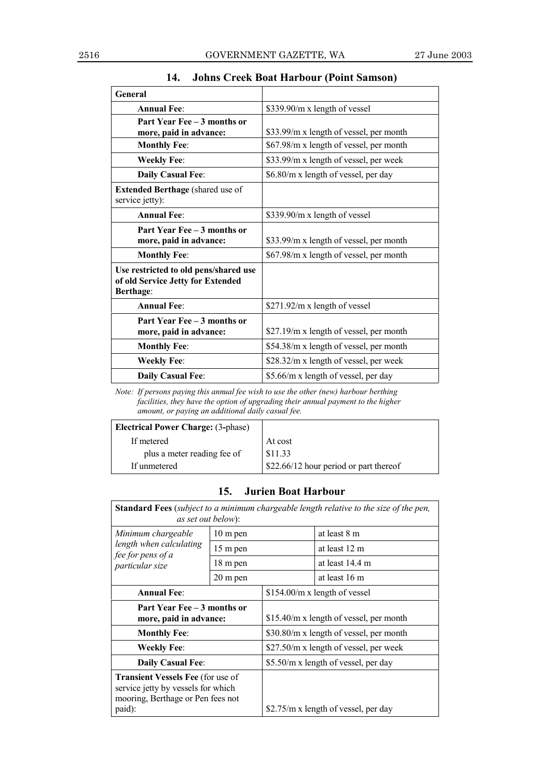| General                                                                                        |                                         |
|------------------------------------------------------------------------------------------------|-----------------------------------------|
| <b>Annual Fee:</b>                                                                             | \$339.90/m x length of vessel           |
| Part Year Fee - 3 months or                                                                    |                                         |
| more, paid in advance:                                                                         | \$33.99/m x length of vessel, per month |
| <b>Monthly Fee:</b>                                                                            | \$67.98/m x length of vessel, per month |
| <b>Weekly Fee:</b>                                                                             | \$33.99/m x length of vessel, per week  |
| Daily Casual Fee:                                                                              | \$6.80/m x length of vessel, per day    |
| <b>Extended Berthage</b> (shared use of<br>service jetty):                                     |                                         |
| <b>Annual Fee:</b>                                                                             | \$339.90/m x length of vessel           |
| Part Year Fee - 3 months or<br>more, paid in advance:                                          | \$33.99/m x length of vessel, per month |
| <b>Monthly Fee:</b>                                                                            | \$67.98/m x length of vessel, per month |
| Use restricted to old pens/shared use<br>of old Service Jetty for Extended<br><b>Berthage:</b> |                                         |
| <b>Annual Fee:</b>                                                                             | \$271.92/m x length of vessel           |
| Part Year Fee – 3 months or                                                                    |                                         |
| more, paid in advance:                                                                         | \$27.19/m x length of vessel, per month |
| <b>Monthly Fee:</b>                                                                            | \$54.38/m x length of vessel, per month |
| <b>Weekly Fee:</b>                                                                             | \$28.32/m x length of vessel, per week  |
| <b>Daily Casual Fee:</b>                                                                       | \$5.66/m x length of vessel, per day    |

# **14. Johns Creek Boat Harbour (Point Samson)**

*Note: If persons paying this annual fee wish to use the other (new) harbour berthing facilities, they have the option of upgrading their annual payment to the higher amount, or paying an additional daily casual fee.*

| <b>Electrical Power Charge: (3-phase)</b> |                                        |
|-------------------------------------------|----------------------------------------|
| If metered                                | At cost                                |
| plus a meter reading fee of               | \$11.33                                |
| If unmetered                              | \$22.66/12 hour period or part thereof |

## **15. Jurien Boat Harbour**

| <b>Standard Fees</b> ( <i>subject to a minimum chargeable length relative to the size of the pen,</i><br>as set out below):   |                    |                                         |                                      |  |
|-------------------------------------------------------------------------------------------------------------------------------|--------------------|-----------------------------------------|--------------------------------------|--|
| Minimum chargeable<br>$10 \text{ m}$ pen                                                                                      |                    |                                         | at least 8 m                         |  |
| length when calculating<br>fee for pens of a                                                                                  | 15 m pen           |                                         | at least 12 m                        |  |
| particular size                                                                                                               | 18 m pen           |                                         | at least 14.4 m                      |  |
|                                                                                                                               | $20 \text{ m}$ pen |                                         | at least 16 m                        |  |
| <b>Annual Fee:</b>                                                                                                            |                    |                                         | \$154.00/m x length of vessel        |  |
| Part Year Fee – 3 months or<br>more, paid in advance:                                                                         |                    | \$15.40/m x length of vessel, per month |                                      |  |
| <b>Monthly Fee:</b>                                                                                                           |                    | \$30.80/m x length of vessel, per month |                                      |  |
| <b>Weekly Fee:</b>                                                                                                            |                    | \$27.50/m x length of vessel, per week  |                                      |  |
| <b>Daily Casual Fee:</b>                                                                                                      |                    | \$5.50/m x length of vessel, per day    |                                      |  |
| <b>Transient Vessels Fee (for use of</b><br>service jetty by vessels for which<br>mooring, Berthage or Pen fees not<br>paid): |                    |                                         | \$2.75/m x length of vessel, per day |  |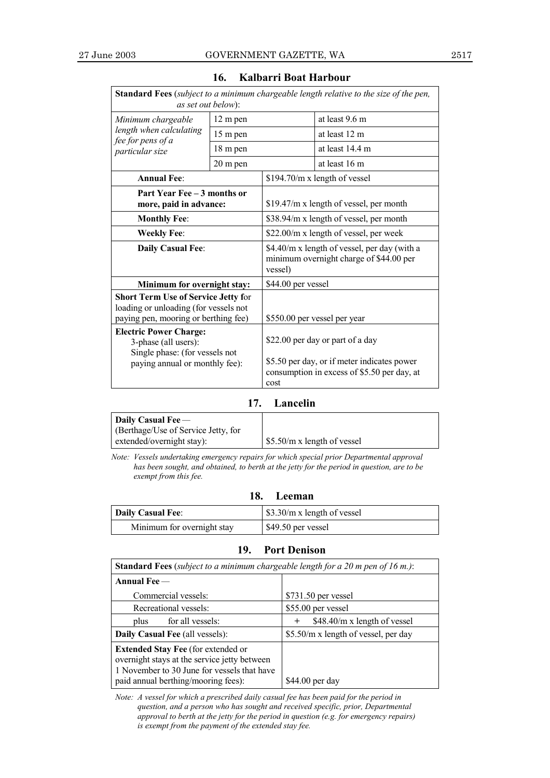| as set out below):                                                                                                                                                                                                                                       |                    |                    | <b>Standard Fees</b> (subject to a minimum chargeable length relative to the size of the pen,                                                                  |
|----------------------------------------------------------------------------------------------------------------------------------------------------------------------------------------------------------------------------------------------------------|--------------------|--------------------|----------------------------------------------------------------------------------------------------------------------------------------------------------------|
| Minimum chargeable<br>12 m pen<br>length when calculating<br>15 m pen                                                                                                                                                                                    |                    |                    | at least 9.6 m                                                                                                                                                 |
|                                                                                                                                                                                                                                                          |                    |                    | at least 12 m                                                                                                                                                  |
| fee for pens of a<br>particular size                                                                                                                                                                                                                     | 18 m pen           |                    | at least 14.4 m                                                                                                                                                |
|                                                                                                                                                                                                                                                          | $20 \text{ m}$ pen |                    | at least 16 m                                                                                                                                                  |
| <b>Annual Fee:</b>                                                                                                                                                                                                                                       |                    |                    | \$194.70/m x length of vessel                                                                                                                                  |
| Part Year Fee – 3 months or<br>more, paid in advance:                                                                                                                                                                                                    |                    |                    | \$19.47/m x length of vessel, per month                                                                                                                        |
| <b>Monthly Fee:</b>                                                                                                                                                                                                                                      |                    |                    | \$38.94/m x length of vessel, per month                                                                                                                        |
| <b>Weekly Fee:</b>                                                                                                                                                                                                                                       |                    |                    | \$22.00/m x length of vessel, per week                                                                                                                         |
| <b>Daily Casual Fee:</b>                                                                                                                                                                                                                                 | vessel)            |                    | \$4.40/m x length of vessel, per day (with a<br>minimum overnight charge of \$44.00 per                                                                        |
| Minimum for overnight stay:                                                                                                                                                                                                                              |                    | \$44.00 per vessel |                                                                                                                                                                |
| <b>Short Term Use of Service Jetty for</b><br>loading or unloading (for vessels not<br>paying pen, mooring or berthing fee)<br><b>Electric Power Charge:</b><br>3-phase (all users):<br>Single phase: (for vessels not<br>paying annual or monthly fee): |                    | cost               | \$550.00 per vessel per year<br>\$22.00 per day or part of a day<br>\$5.50 per day, or if meter indicates power<br>consumption in excess of \$5.50 per day, at |

### **16. Kalbarri Boat Harbour**

### **17. Lancelin**

| Daily Casual Fee $-$                |                              |
|-------------------------------------|------------------------------|
| (Berthage/Use of Service Jetty, for |                              |
| extended/overnight stay):           | $$5.50/m x$ length of vessel |

*Note: Vessels undertaking emergency repairs for which special prior Departmental approval has been sought, and obtained, to berth at the jetty for the period in question, are to be exempt from this fee.*

**18. Leeman**

| <b>Daily Casual Fee:</b>   | \$3.30/m x length of vessel |
|----------------------------|-----------------------------|
| Minimum for overnight stay | \$49.50 per vessel          |

### **19. Port Denison**

| <b>Standard Fees</b> (subject to a minimum chargeable length for a 20 m pen of 16 m.):                                                                                          |                                        |  |
|---------------------------------------------------------------------------------------------------------------------------------------------------------------------------------|----------------------------------------|--|
| Annual Fee $-$                                                                                                                                                                  |                                        |  |
| Commercial vessels:                                                                                                                                                             | \$731.50 per vessel                    |  |
| Recreational vessels:                                                                                                                                                           | \$55.00 per vessel                     |  |
| for all vessels:<br>plus                                                                                                                                                        | \$48.40/m x length of vessel<br>$\,^+$ |  |
| <b>Daily Casual Fee (all vessels):</b>                                                                                                                                          | \$5.50/m x length of vessel, per day   |  |
| <b>Extended Stay Fee</b> (for extended or<br>overnight stays at the service jetty between<br>1 November to 30 June for vessels that have<br>paid annual berthing/mooring fees): | $$44.00$ per day                       |  |

*Note: A vessel for which a prescribed daily casual fee has been paid for the period in question, and a person who has sought and received specific, prior, Departmental approval to berth at the jetty for the period in question (e.g. for emergency repairs) is exempt from the payment of the extended stay fee.*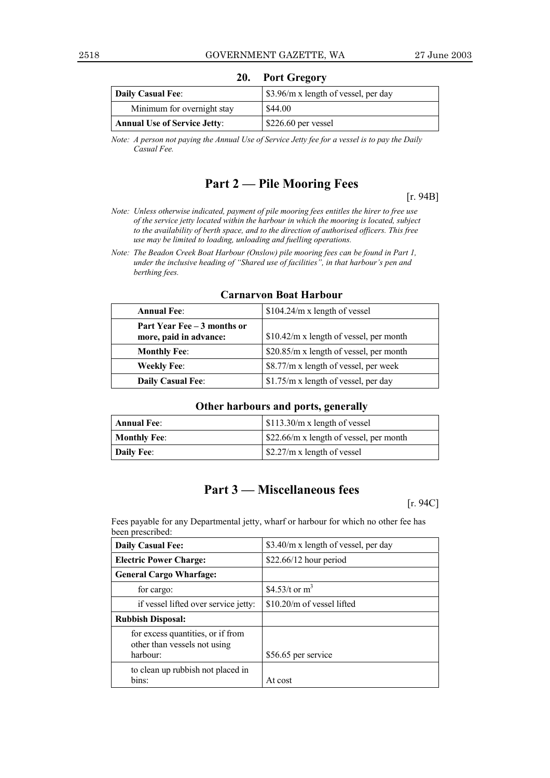| <b>Daily Casual Fee:</b>            | \$3.96/m x length of vessel, per day |
|-------------------------------------|--------------------------------------|
| Minimum for overnight stay          | \$44.00                              |
| <b>Annual Use of Service Jetty:</b> | $$226.60$ per vessel                 |

**20. Port Gregory**

*Note: A person not paying the Annual Use of Service Jetty fee for a vessel is to pay the Daily Casual Fee.*

# **Part 2 – Pile Mooring Fees**

[r. 94B]

*Note: Unless otherwise indicated, payment of pile mooring fees entitles the hirer to free use of the service jetty located within the harbour in which the mooring is located, subject to the availability of berth space, and to the direction of authorised officers. This free use may be limited to loading, unloading and fuelling operations.*

*Note: The Beadon Creek Boat Harbour (Onslow) pile mooring fees can be found in Part 1, under the inclusive heading of "Shared use of facilities", in that harbour's pen and berthing fees.*

| <b>Annual Fee:</b>                                    | $$104.24/m x$ length of vessel                |
|-------------------------------------------------------|-----------------------------------------------|
| Part Year Fee – 3 months or<br>more, paid in advance: | $$10.42/m \times length of vessel, per month$ |
| <b>Monthly Fee:</b>                                   | \$20.85/m x length of vessel, per month       |
| <b>Weekly Fee:</b>                                    | \$8.77/m x length of vessel, per week         |
| <b>Daily Casual Fee:</b>                              | \$1.75/m x length of vessel, per day          |

### **Carnarvon Boat Harbour**

| <b>Annual Fee:</b>  | $$113.30/m x$ length of vessel                |
|---------------------|-----------------------------------------------|
| <b>Monthly Fee:</b> | $$22.66/m \times length of vessel, per month$ |
| <b>Daily Fee:</b>   | $$2.27/m x$ length of vessel                  |

# **Part 3 – Miscellaneous fees**

[r. 94C]

Fees payable for any Departmental jetty, wharf or harbour for which no other fee has been prescribed:

| <b>Daily Casual Fee:</b>                                                      | \$3.40/m x length of vessel, per day |  |
|-------------------------------------------------------------------------------|--------------------------------------|--|
| <b>Electric Power Charge:</b>                                                 | $$22.66/12$ hour period              |  |
| <b>General Cargo Wharfage:</b>                                                |                                      |  |
| for cargo:                                                                    | \$4.53/t or $m^3$                    |  |
| if vessel lifted over service jetty:                                          | $$10.20/m$ of vessel lifted          |  |
| <b>Rubbish Disposal:</b>                                                      |                                      |  |
| for excess quantities, or if from<br>other than vessels not using<br>harbour: | \$56.65 per service                  |  |
| to clean up rubbish not placed in<br>bins:                                    | At cost                              |  |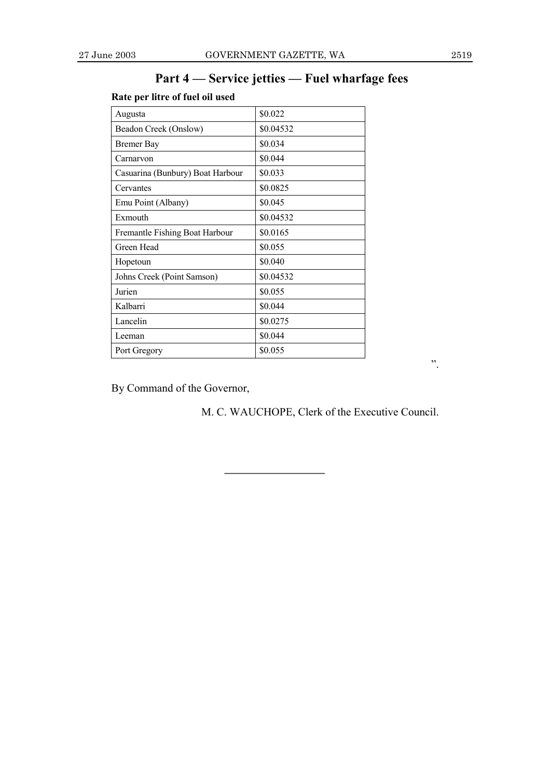# Part 4 – Service jetties – Fuel wharfage fees

# **Rate per litre of fuel oil used**

| Augusta                          | \$0.022   |
|----------------------------------|-----------|
| Beadon Creek (Onslow)            | \$0.04532 |
| <b>Bremer Bay</b>                | \$0.034   |
| Carnarvon                        | \$0.044   |
| Casuarina (Bunbury) Boat Harbour | \$0.033   |
| Cervantes                        | \$0.0825  |
| Emu Point (Albany)               | \$0.045   |
| Exmouth                          | \$0.04532 |
| Fremantle Fishing Boat Harbour   | \$0.0165  |
| Green Head                       | \$0.055   |
| Hopetoun                         | \$0.040   |
| Johns Creek (Point Samson)       | \$0.04532 |
| Jurien                           | \$0.055   |
| Kalbarri                         | \$0.044   |
| Lancelin                         | \$0.0275  |
| Leeman                           | \$0.044   |
| Port Gregory                     | \$0.055   |

By Command of the Governor,

M. C. WAUCHOPE, Clerk of the Executive Council.

î.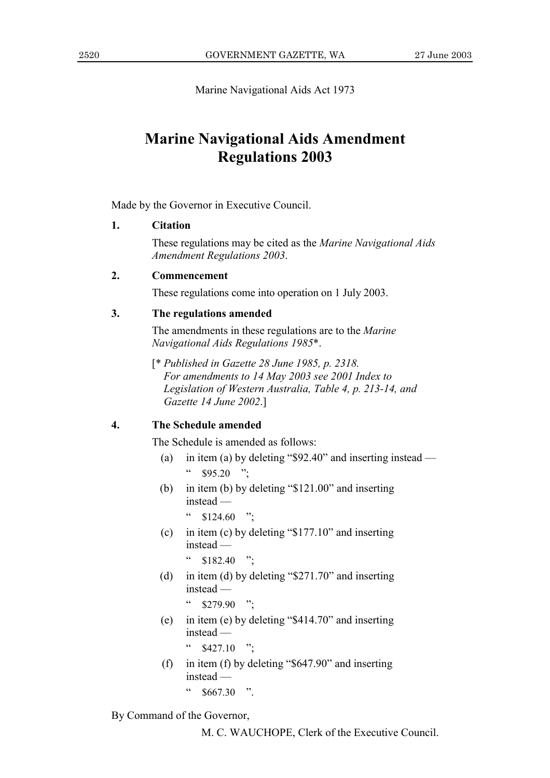Marine Navigational Aids Act 1973

# **Marine Navigational Aids Amendment Regulations 2003**

Made by the Governor in Executive Council.

#### 1. **Citation**

These regulations may be cited as the *Marine Navigational Aids* **Amendment Regulations 2003.** 

#### $2.$ Commencement

These regulations come into operation on 1 July 2003.

#### $3.$ The regulations amended

The amendments in these regulations are to the *Marine* Navigational Aids Regulations 1985\*.

[\* Published in Gazette 28 June 1985, p. 2318. For amendments to 14 May 2003 see 2001 Index to Legislation of Western Australia, Table 4, p. 213-14, and Gazette 14 June 2002.1

#### $\overline{4}$ . The Schedule amended

The Schedule is amended as follows:

- in item (a) by deleting " $$92.40"$  and inserting instead (a)  $\bar{\mathcal{C}}$  $$95.20$  ":
- (b) in item (b) by deleting " $$121.00"$  and inserting instead  $-$

 $\epsilon$ \$124.60  $, \cdot$ 

(c) in item (c) by deleting " $$177.10"$  and inserting  $instead -$ 

 $$182.40$  ":

(d) in item (d) by deleting " $$271.70"$  and inserting instead -

> $\mathsf{cc}$  $$279.90$  "

(e) in item (e) by deleting " $$414.70"$  and inserting  $instead$  —

 $\frac{427.10}{10}$  .

(f) in item (f) by deleting " $$647.90"$  and inserting  $instead \epsilon\, \epsilon$  $$667.30$  ".

By Command of the Governor,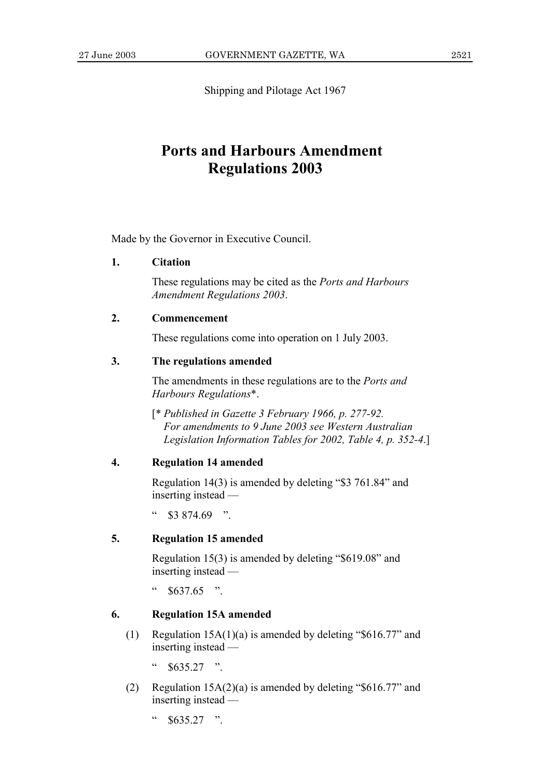Shipping and Pilotage Act 1967

# **Ports and Harbours Amendment Regulations 2003**

Made by the Governor in Executive Council.

#### $\mathbf{1}$ . **Citation**

These regulations may be cited as the *Ports and Harbours* **Amendment Regulations 2003.** 

#### $2.$ Commencement

These regulations come into operation on 1 July 2003.

#### $\mathbf{3}$ The regulations amended

The amendments in these regulations are to the *Ports and* Harbours Regulations\*.

[\* Published in Gazette 3 February 1966, p. 277-92. For amendments to 9 June 2003 see Western Australian Legislation Information Tables for 2002, Table 4, p. 352-4.]

#### $\overline{4}$ . **Regulation 14 amended**

Regulation  $14(3)$  is amended by deleting "\$3 761.84" and inserting instead —

 $\epsilon$  $$3874.69$  "

#### $\overline{5}$ . **Regulation 15 amended**

Regulation 15(3) is amended by deleting "\$619.08" and inserting instead —

 $\zeta\,\zeta$  $$637.65$  ".

#### 6. **Regulation 15A amended**

- $(1)$ Regulation  $15A(1)(a)$  is amended by deleting "\$616.77" and inserting instead —
	- $\overline{\mathbf{c}}$  $$635\,27$  "
- Regulation  $15A(2)(a)$  is amended by deleting "\$616.77" and  $(2)$ inserting instead —
	- $\zeta$   $\zeta$  $$635.27$  ".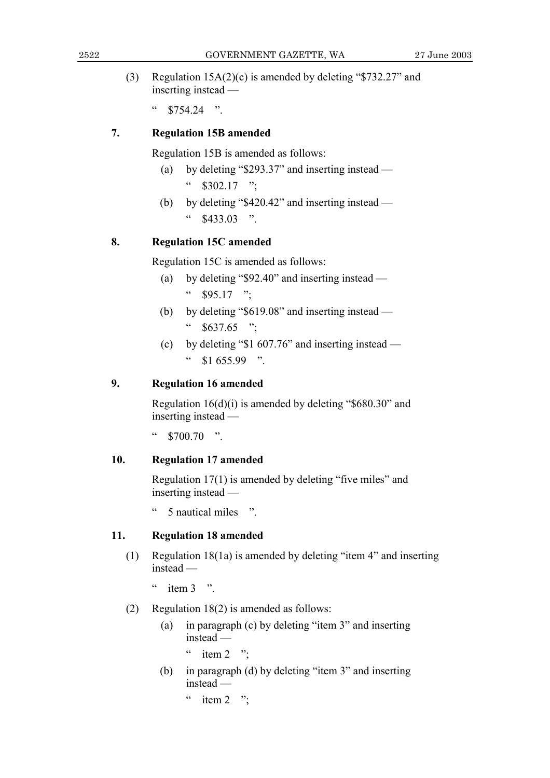Regulation 15A(2)(c) is amended by deleting "\$732.27" and  $(3)$ inserting instead —

 $\epsilon$  $$754.24$  "

#### $7.$ **Regulation 15B amended**

Regulation 15B is amended as follows:

- by deleting " $$293.37"$  and inserting instead  $(a)$  $\frac{4}{3}$  \$302.17 ":
- by deleting "\$420.42" and inserting instead (b)  $$433.03$  "

#### 8. **Regulation 15C amended**

Regulation 15C is amended as follows:

- by deleting "\$92.40" and inserting instead  $(a)$ "  $$95.17$  ":
- by deleting "\$619.08" and inserting instead (b)  $\epsilon\, \epsilon$  $$637.65$  ";
- (c) by deleting " $$1\,607.76$ " and inserting instead  $\epsilon\,\epsilon$  $$1655.99$  "

#### $9<sub>1</sub>$ **Regulation 16 amended**

Regulation  $16(d)(i)$  is amended by deleting "\$680.30" and inserting instead —

 $\epsilon$  $$700.70$  ".

#### 10. **Regulation 17 amended**

Regulation 17(1) is amended by deleting "five miles" and inserting instead —

 $\epsilon$ 5 nautical miles ".

#### $11.$ **Regulation 18 amended**

 $(1)$ Regulation 18(1a) is amended by deleting "item 4" and inserting instead —

 $\epsilon$ item  $3 \rightarrow$ 

- Regulation  $18(2)$  is amended as follows:  $(2)$ 
	- in paragraph (c) by deleting "item 3" and inserting  $(a)$  $instead -$ 
		- " item  $2$  ";
	- in paragraph (d) by deleting "item 3" and inserting (b)  $instead -$

item  $2$  ";  $\epsilon\epsilon$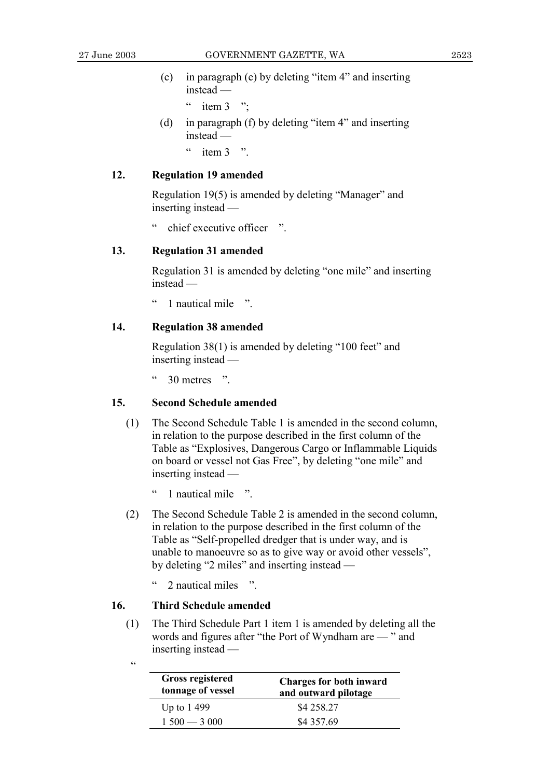- (c) in paragraph (e) by deleting "item  $4$ " and inserting  $instead -$ 
	- $\degree$  item 3  $\degree$ ;
- (d) in paragraph (f) by deleting "item 4" and inserting  $instead -$ 
	- $\degree$  item 3  $\degree$ .

### **12. Regulation 19 amended**

Regulation 19(5) is amended by deleting "Manager" and inserting instead  $-$ 

chief executive officer  $\therefore$ 

## **13. Regulation 31 amended**

Regulation 31 is amended by deleting "one mile" and inserting instead —

 $\degree$  1 nautical mile  $\degree$ 

### **14. Regulation 38 amended**

Regulation  $38(1)$  is amended by deleting "100 feet" and inserting instead  $-$ 

 $\degree$  30 metres  $\degree$ .

# **15. Second Schedule amended**

- (1) The Second Schedule Table 1 is amended in the second column, in relation to the purpose described in the first column of the Table as "Explosives, Dangerous Cargo or Inflammable Liquids" on board or vessel not Gas Free", by deleting "one mile" and inserting instead  $-$ 
	- 1 nautical mile <sup>"</sup>
- (2) The Second Schedule Table 2 is amended in the second column, in relation to the purpose described in the first column of the Table as "Self-propelled dredger that is under way, and is unable to manoeuvre so as to give way or avoid other vessels", by deleting  $\degree$ 2 miles $\degree$  and inserting instead  $\degree$ 
	- $\degree$  2 nautical miles  $\degree$

## **16. Third Schedule amended**

(1) The Third Schedule Part 1 item 1 is amended by deleting all the words and figures after "the Port of Wyndham are – " and inserting instead  $-$ 

| I<br>. . |  |
|----------|--|
|          |  |
|          |  |
|          |  |

| <b>Gross registered</b><br>tonnage of vessel | <b>Charges for both inward</b><br>and outward pilotage |
|----------------------------------------------|--------------------------------------------------------|
| Up to 1499                                   | \$4 258.27                                             |
| $1500 - 3000$                                | \$4 357.69                                             |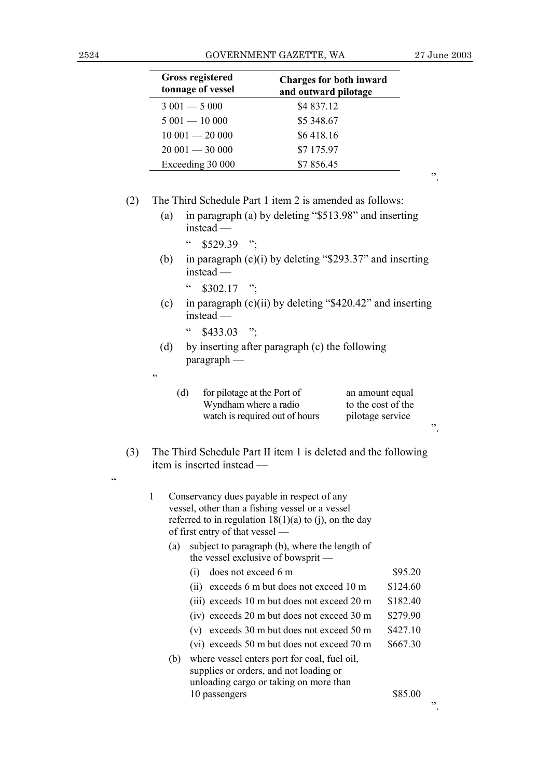$\overline{\mathcal{C}}$ 

|     |            | <b>Gross registered</b><br>tonnage of vessel | <b>Charges for both inward</b><br>and outward pilotage                                                                                                   |                                                           |    |
|-----|------------|----------------------------------------------|----------------------------------------------------------------------------------------------------------------------------------------------------------|-----------------------------------------------------------|----|
|     |            | $3001 - 5000$                                | \$4 837.12                                                                                                                                               |                                                           |    |
|     |            | $5001 - 10000$                               | \$5 348.67                                                                                                                                               |                                                           |    |
|     |            | $10001 - 20000$                              | \$6418.16                                                                                                                                                |                                                           |    |
|     |            | $20001 - 30000$                              | \$7 175.97                                                                                                                                               |                                                           |    |
|     |            | Exceeding 30 000                             | \$7856.45                                                                                                                                                |                                                           | ,, |
| (2) |            |                                              | The Third Schedule Part 1 item 2 is amended as follows:                                                                                                  |                                                           |    |
|     | (a)        | instead —                                    | in paragraph (a) by deleting "\$513.98" and inserting                                                                                                    |                                                           |    |
|     |            | $\zeta$ $\zeta$<br>$$529.39$ ";              |                                                                                                                                                          |                                                           |    |
|     | (b)        | instead                                      | in paragraph $(c)(i)$ by deleting "\$293.37" and inserting                                                                                               |                                                           |    |
|     |            | $\epsilon$<br>$$302.17$ ";                   |                                                                                                                                                          |                                                           |    |
|     | (c)        | instead —                                    | in paragraph $(c)(ii)$ by deleting "\$420.42" and inserting                                                                                              |                                                           |    |
|     |            | $\epsilon$<br>\$433.03                       | $\ddots$                                                                                                                                                 |                                                           |    |
|     | (d)        | $\frac{p \cdot p}{p}$                        | by inserting after paragraph (c) the following                                                                                                           |                                                           |    |
|     | $\epsilon$ |                                              |                                                                                                                                                          |                                                           |    |
|     |            | (d)                                          | for pilotage at the Port of<br>Wyndham where a radio<br>watch is required out of hours                                                                   | an amount equal<br>to the cost of the<br>pilotage service | ,, |
| (3) |            | item is inserted instead                     | The Third Schedule Part II item 1 is deleted and the following                                                                                           |                                                           |    |
|     |            |                                              |                                                                                                                                                          |                                                           |    |
|     | 1          |                                              | Conservancy dues payable in respect of any<br>vessel, other than a fishing vessel or a vessel<br>referred to in regulation $18(1)(a)$ to (j), on the day |                                                           |    |
|     | (a)        | of first entry of that vessel —              |                                                                                                                                                          |                                                           |    |
|     |            |                                              | subject to paragraph (b), where the length of<br>the vessel exclusive of bowsprit -                                                                      |                                                           |    |
|     |            | (i)                                          | does not exceed 6 m                                                                                                                                      | \$95.20                                                   |    |
|     |            |                                              | (ii) exceeds 6 m but does not exceed 10 m                                                                                                                | \$124.60                                                  |    |
|     |            |                                              | (iii) exceeds 10 m but does not exceed 20 m                                                                                                              | \$182.40                                                  |    |
|     |            |                                              | (iv) exceeds 20 m but does not exceed 30 m                                                                                                               | \$279.90                                                  |    |
|     |            |                                              | (v) exceeds 30 m but does not exceed 50 m                                                                                                                | \$427.10                                                  |    |
|     |            |                                              | (vi) exceeds 50 m but does not exceed 70 m                                                                                                               | \$667.30                                                  |    |
|     | (b)        |                                              | where vessel enters port for coal, fuel oil,<br>supplies or orders, and not loading or<br>unloading cargo or taking on more than                         |                                                           |    |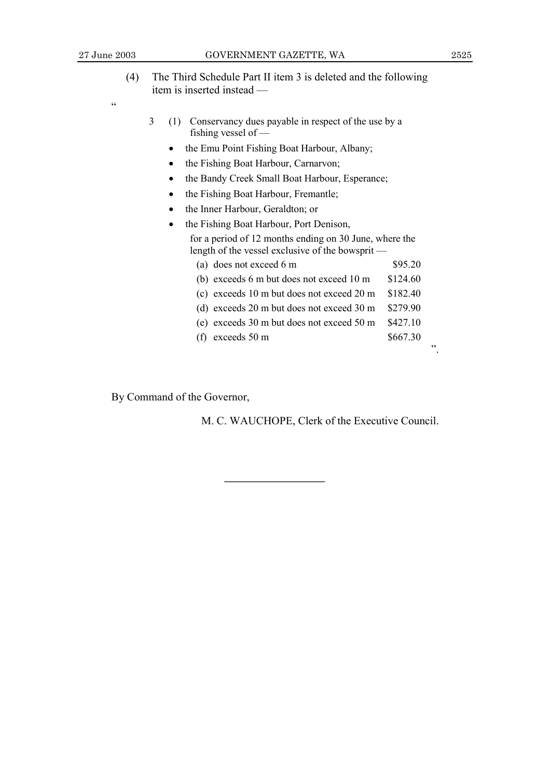$\ddot{\phantom{0}}$ 

- (4) The Third Schedule Part II item 3 is deleted and the following item is inserted instead —
- $\epsilon$
- 3 (1) Conservancy dues payable in respect of the use by a fishing vessel of  $-$ 
	- the Emu Point Fishing Boat Harbour, Albany;
	- the Fishing Boat Harbour, Carnarvon;
	- the Bandy Creek Small Boat Harbour, Esperance;
	- the Fishing Boat Harbour, Fremantle;
	- the Inner Harbour, Geraldton; or
	- the Fishing Boat Harbour, Port Denison, for a period of 12 months ending on 30 June, where the length of the vessel exclusive of the bowsprit — (a) does not exceed 6 m  $$95.20$

| (b) exceeds 6 m but does not exceed 10 m                      | \$124.60 |
|---------------------------------------------------------------|----------|
| (c) exceeds 10 m but does not exceed 20 m                     | \$182.40 |
| (d) exceeds 20 m but does not exceed 30 m $$279.90$           |          |
| (e) exceeds $30 \text{ m}$ but does not exceed $50 \text{ m}$ | \$427.10 |
| (f) exceeds $50 \text{ m}$                                    | \$667.30 |
|                                                               |          |

By Command of the Governor,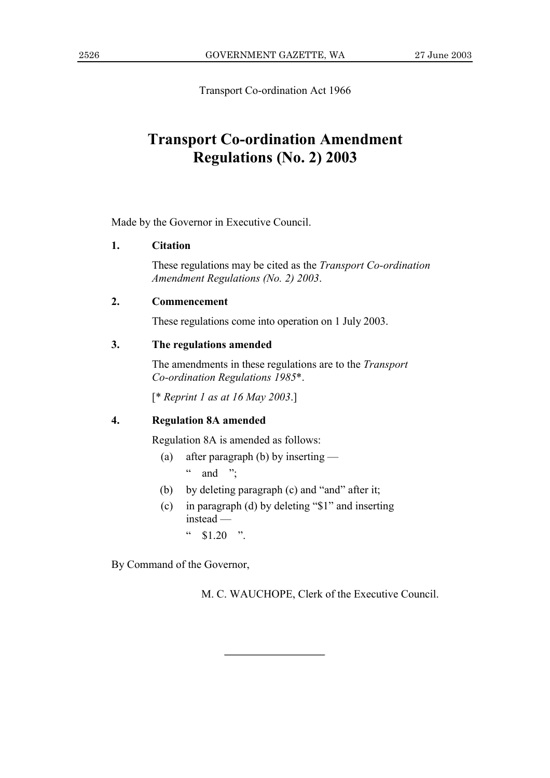Transport Co-ordination Act 1966

# **Transport Co-ordination Amendment Regulations (No. 2) 2003**

Made by the Governor in Executive Council.

### **1. Citation**

These regulations may be cited as the *Transport Co-ordination Amendment Regulations (No. 2) 2003*.

## **2. Commencement**

These regulations come into operation on 1 July 2003.

# **3. The regulations amended**

The amendments in these regulations are to the *Transport Co-ordination Regulations 1985*\*.

[\* *Reprint 1 as at 16 May 2003*.]

# **4. Regulation 8A amended**

Regulation 8A is amended as follows:

- (a) after paragraph (b) by inserting  $\ldots$  and  $\ldots$
- (b) by deleting paragraph (c) and "and" after it;
- (c) in paragraph (d) by deleting " $$1"$  and inserting  $instead$  —
	- $\frac{1}{20}$  \$1.20  $\frac{1}{20}$

By Command of the Governor,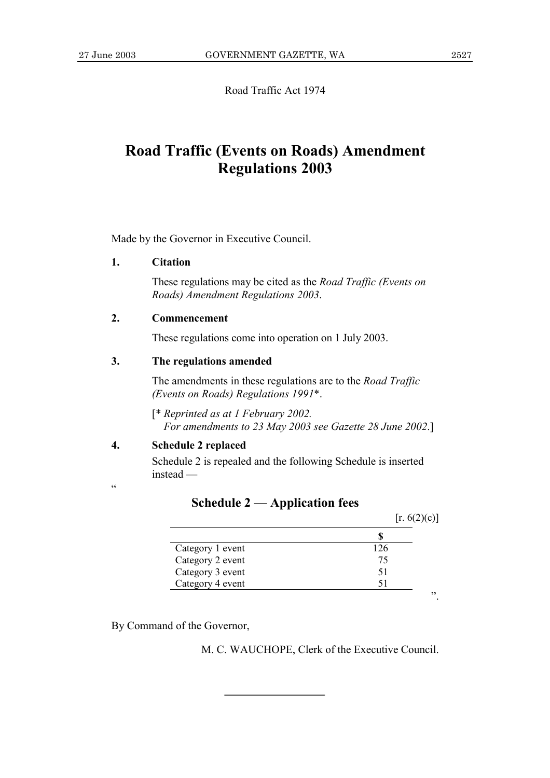Road Traffic Act 1974

# **Road Traffic (Events on Roads) Amendment Regulations 2003**

Made by the Governor in Executive Council.

#### 1. **Citation**

These regulations may be cited as the *Road Traffic (Events on* Roads) Amendment Regulations 2003.

#### $2.$ Commencement

These regulations come into operation on 1 July 2003.

#### $3.$ The regulations amended

The amendments in these regulations are to the *Road Traffic* (Events on Roads) Regulations 1991\*.

[\* Reprinted as at 1 February 2002. For amendments to 23 May 2003 see Gazette 28 June 2002.]

#### $\overline{4}$ . **Schedule 2 replaced**

 $\epsilon$ 

Schedule 2 is repealed and the following Schedule is inserted  $instead -$ 

|                  | [r. 6(2)(c)] |    |
|------------------|--------------|----|
|                  |              |    |
| Category 1 event | 126          |    |
| Category 2 event | 75           |    |
| Category 3 event | 51           |    |
| Category 4 event |              |    |
|                  |              | ,, |

# **Schedule 2 — Application fees**

By Command of the Governor,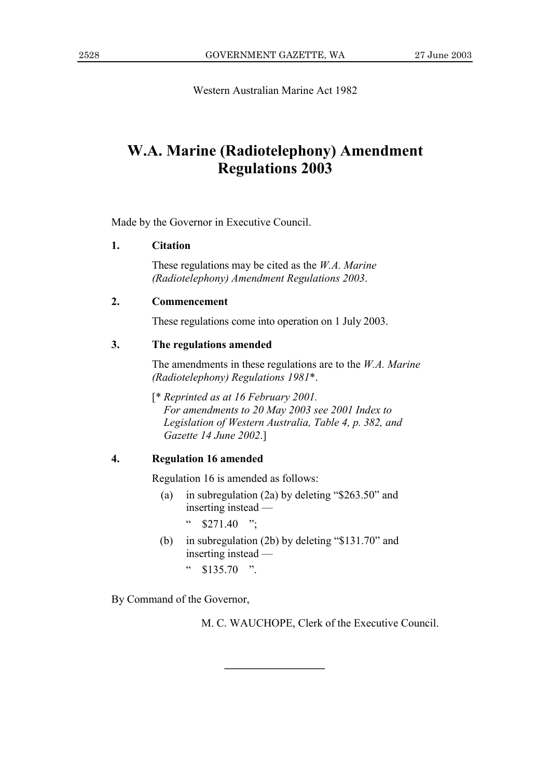Western Australian Marine Act 1982

# **W.A. Marine (Radiotelephony) Amendment Regulations 2003**

Made by the Governor in Executive Council.

#### 1. **Citation**

These regulations may be cited as the  $W.A.$  Marine (Radiotelephony) Amendment Regulations 2003.

#### $2.$ Commencement

These regulations come into operation on 1 July 2003.

#### $\overline{3}$ . The regulations amended

The amendments in these regulations are to the  $W.A.$  Marine (Radiotelephony) Regulations 1981\*.

[\* Reprinted as at 16 February 2001.] For amendments to 20 May 2003 see 2001 Index to Legislation of Western Australia, Table 4, p. 382, and Gazette 14 June 2002.]

#### $\overline{4}$ . **Regulation 16 amended**

Regulation 16 is amended as follows:

 $(a)$ in subregulation (2a) by deleting " $$263.50"$  and inserting instead —

> $\epsilon\, \epsilon$  $$271.40$  ":

- in subregulation (2b) by deleting "\$131.70" and (b) inserting instead —
	- $\mathsf{cc}$  $$135.70$  ".

By Command of the Governor,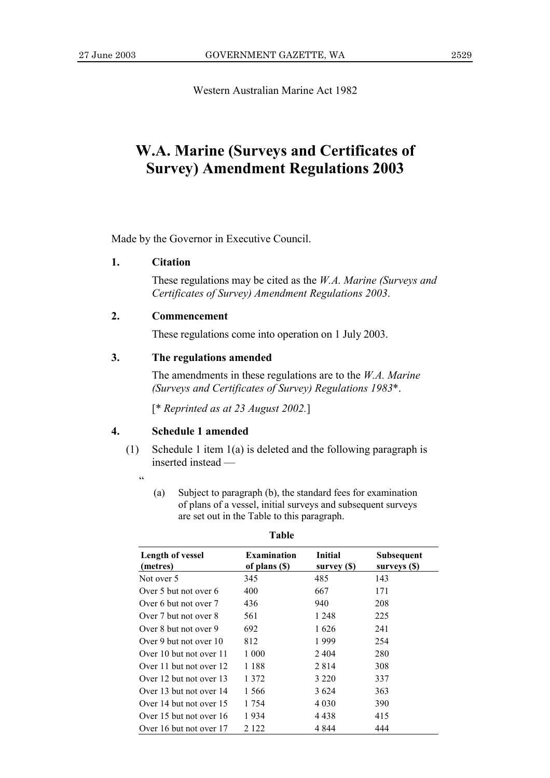Western Australian Marine Act 1982

# **W.A. Marine (Surveys and Certificates of Survey) Amendment Regulations 2003**

Made by the Governor in Executive Council.

### **1. Citation**

These regulations may be cited as the *W.A. Marine (Surveys and Certificates of Survey) Amendment Regulations 2003*.

## **2. Commencement**

These regulations come into operation on 1 July 2003.

# **3. The regulations amended**

The amendments in these regulations are to the *W.A. Marine (Surveys and Certificates of Survey) Regulations 1983*\*.

[\* *Reprinted as at 23 August 2002.*]

## **4. Schedule 1 amended**

- (1) Schedule 1 item 1(a) is deleted and the following paragraph is inserted instead
	- ì
- (a) Subject to paragraph (b), the standard fees for examination of plans of a vessel, initial surveys and subsequent surveys are set out in the Table to this paragraph.

| Length of vessel<br>(metres) | <b>Examination</b><br>of plans (\$) | <b>Initial</b><br>survey (\$) | Subsequent<br>surveys (\$) |
|------------------------------|-------------------------------------|-------------------------------|----------------------------|
| Not over 5                   | 345                                 | 485                           | 143                        |
| Over 5 but not over 6        | 400                                 | 667                           | 171                        |
| Over 6 but not over 7        | 436                                 | 940                           | 208                        |
| Over 7 but not over 8        | 561                                 | 1 2 4 8                       | 225                        |
| Over 8 but not over 9        | 692                                 | 1626                          | 241                        |
| Over 9 but not over 10       | 812                                 | 1999                          | 254                        |
| Over 10 but not over 11      | 1 000                               | 2404                          | 280                        |
| Over 11 but not over 12      | 1 1 8 8                             | 2814                          | 308                        |
| Over 12 but not over 13      | 1 372                               | 3 2 2 0                       | 337                        |
| Over 13 but not over 14      | 1 566                               | 3 6 2 4                       | 363                        |
| Over 14 but not over 15      | 1 754                               | 4 0 3 0                       | 390                        |
| Over 15 but not over 16      | 1934                                | 4 4 3 8                       | 415                        |
| Over 16 but not over 17      | 2 1 2 2                             | 4 844                         | 444                        |

**Table**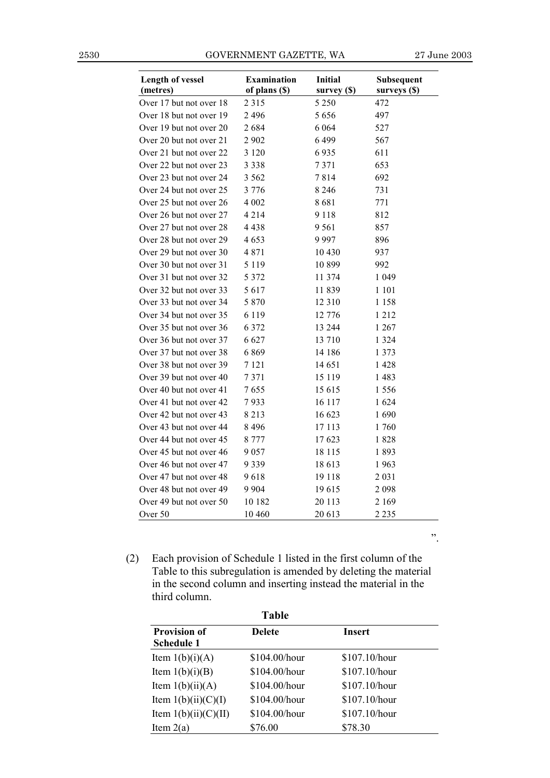2530 GOVERNMENT GAZETTE, WA 27 June 2003

î.

| <b>Length of vessel</b> | <b>Examination</b> | <b>Initial</b> | Subsequent   |
|-------------------------|--------------------|----------------|--------------|
| (metres)                | of plans (\$)      | survey (\$)    | surveys (\$) |
| Over 17 but not over 18 | 2 3 1 5            | 5 2 5 0        | 472          |
| Over 18 but not over 19 | 2 4 9 6            | 5656           | 497          |
| Over 19 but not over 20 | 2684               | 6 0 6 4        | 527          |
| Over 20 but not over 21 | 2 902              | 6499           | 567          |
| Over 21 but not over 22 | 3 1 2 0            | 6935           | 611          |
| Over 22 but not over 23 | 3 3 3 8            | 7371           | 653          |
| Over 23 but not over 24 | 3 5 6 2            | 7814           | 692          |
| Over 24 but not over 25 | 3 7 7 6            | 8 2 4 6        | 731          |
| Over 25 but not over 26 | 4 0 0 2            | 8681           | 771          |
| Over 26 but not over 27 | 4 2 1 4            | 9 1 1 8        | 812          |
| Over 27 but not over 28 | 4 438              | 9 5 6 1        | 857          |
| Over 28 but not over 29 | 4 653              | 9997           | 896          |
| Over 29 but not over 30 | 4871               | 10 4 30        | 937          |
| Over 30 but not over 31 | 5 1 1 9            | 10 899         | 992          |
| Over 31 but not over 32 | 5 3 7 2            | 11 374         | 1 0 4 9      |
| Over 32 but not over 33 | 5 6 1 7            | 11839          | 1 101        |
| Over 33 but not over 34 | 5 8 7 0            | 12 3 10        | 1 158        |
| Over 34 but not over 35 | 6 1 1 9            | 12 776         | 1 2 1 2      |
| Over 35 but not over 36 | 6 3 7 2            | 13 244         | 1 267        |
| Over 36 but not over 37 | 6 6 27             | 13 710         | 1 3 2 4      |
| Over 37 but not over 38 | 6869               | 14 18 6        | 1 3 7 3      |
| Over 38 but not over 39 | 7 1 2 1            | 14 651         | 1428         |
| Over 39 but not over 40 | 7371               | 15 1 19        | 1483         |
| Over 40 but not over 41 | 7655               | 15 615         | 1 556        |
| Over 41 but not over 42 | 7933               | 16 117         | 1 624        |
| Over 42 but not over 43 | 8 2 1 3            | 16 623         | 1690         |
| Over 43 but not over 44 | 8 4 9 6            | 17 113         | 1760         |
| Over 44 but not over 45 | 8 7 7 7            | 17 623         | 1828         |
| Over 45 but not over 46 | 9 0 5 7            | 18 115         | 1893         |
| Over 46 but not over 47 | 9 3 3 9            | 18 613         | 1963         |
| Over 47 but not over 48 | 9618               | 19 118         | 2 0 3 1      |
| Over 48 but not over 49 | 9 9 0 4            | 19615          | 2 0 9 8      |
| Over 49 but not over 50 | 10 182             | 20 113         | 2 1 6 9      |
| Over 50                 | 10 460             | 20 613         | 2 2 3 5      |

(2) Each provision of Schedule 1 listed in the first column of the Table to this subregulation is amended by deleting the material in the second column and inserting instead the material in the third column.

| <b>Table</b>           |               |               |
|------------------------|---------------|---------------|
| <b>Provision of</b>    | <b>Delete</b> | Insert        |
| <b>Schedule 1</b>      |               |               |
| Item $1(b)(i)(A)$      | \$104.00/hour | \$107.10/hour |
| Item $1(b)(i)(B)$      | \$104.00/hour | \$107.10/hour |
| Item $1(b)(ii)(A)$     | \$104.00/hour | \$107.10/hour |
| Item $1(b)(ii)(C)(I)$  | \$104.00/hour | \$107.10/hour |
| Item $1(b)(ii)(C)(II)$ | \$104.00/hour | \$107.10/hour |
| Item $2(a)$            | \$76.00       | \$78.30       |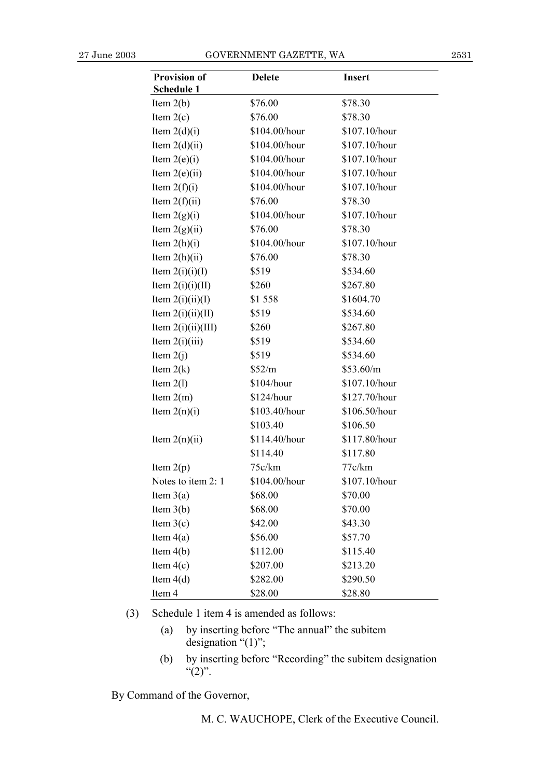| <b>Provision of</b>  | <b>Delete</b> | <b>Insert</b> |
|----------------------|---------------|---------------|
| Schedule 1           |               |               |
| Item $2(b)$          | \$76.00       | \$78.30       |
| Item $2(c)$          | \$76.00       | \$78.30       |
| Item $2(d)(i)$       | \$104.00/hour | \$107.10/hour |
| Item $2(d)(ii)$      | \$104.00/hour | \$107.10/hour |
| Item $2(e)(i)$       | \$104.00/hour | \$107.10/hour |
| Item $2(e)(ii)$      | \$104.00/hour | \$107.10/hour |
| Item $2(f)(i)$       | \$104.00/hour | \$107.10/hour |
| Item $2(f)(ii)$      | \$76.00       | \$78.30       |
| Item $2(g)(i)$       | \$104.00/hour | \$107.10/hour |
| Item $2(g)(ii)$      | \$76.00       | \$78.30       |
| Item $2(h)(i)$       | \$104.00/hour | \$107.10/hour |
| Item $2(h)(ii)$      | \$76.00       | \$78.30       |
| Item $2(i)(i)(I)$    | \$519         | \$534.60      |
| Item $2(i)(i)(II)$   | \$260         | \$267.80      |
| Item $2(i)(ii)(I)$   | \$1558        | \$1604.70     |
| Item $2(i)(ii)(II)$  | \$519         | \$534.60      |
| Item $2(i)(ii)(III)$ | \$260         | \$267.80      |
| Item $2(i)(iii)$     | \$519         | \$534.60      |
| Item $2(j)$          | \$519         | \$534.60      |
| Item $2(k)$          | \$52/m        | \$53.60/m     |
| Item $2(1)$          | \$104/hour    | \$107.10/hour |
| Item $2(m)$          | \$124/hour    | \$127.70/hour |
| Item $2(n)(i)$       | \$103.40/hour | \$106.50/hour |
|                      | \$103.40      | \$106.50      |
| Item $2(n)(ii)$      | \$114.40/hour | \$117.80/hour |
|                      | \$114.40      | \$117.80      |
| Item $2(p)$          | 75c/km        | 77c/km        |
| Notes to item 2: 1   | \$104.00/hour | \$107.10/hour |
| Item $3(a)$          | \$68.00       | \$70.00       |
| Item $3(b)$          | \$68.00       | \$70.00       |
| Item $3(c)$          | \$42.00       | \$43.30       |
| Item $4(a)$          | \$56.00       | \$57.70       |
| Item $4(b)$          | \$112.00      | \$115.40      |
| Item $4(c)$          | \$207.00      | \$213.20      |
| Item $4(d)$          | \$282.00      | \$290.50      |
| Item 4               | \$28.00       | \$28.80       |

(3) Schedule 1 item 4 is amended as follows:

- (a) by inserting before "The annual" the subitem designation  $\cdot$ <sup>"(1)</sup>";
- (b) by inserting before "Recording" the subitem designation  $\binom{16}{2}$ .

By Command of the Governor,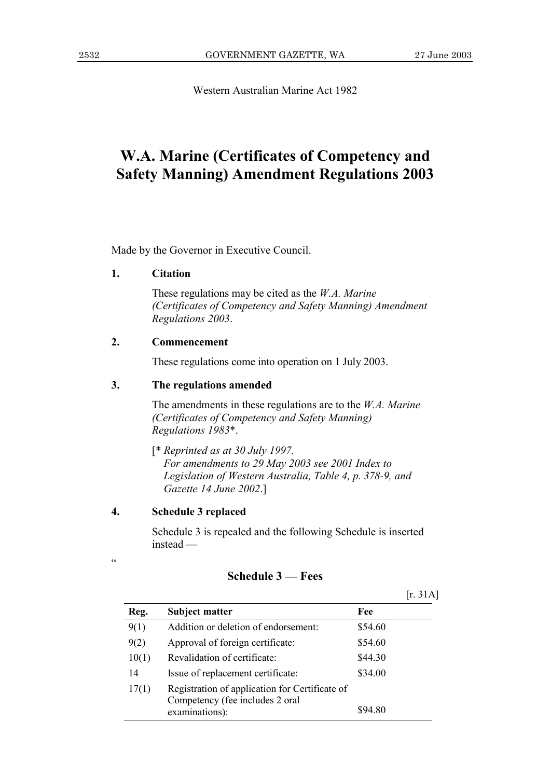Western Australian Marine Act 1982

# W.A. Marine (Certificates of Competency and **Safety Manning) Amendment Regulations 2003**

Made by the Governor in Executive Council.

#### 1. **Citation**

These regulations may be cited as the *W.A. Marine* (Certificates of Competency and Safety Manning) Amendment Regulations 2003.

#### $2.$ Commencement

These regulations come into operation on 1 July 2003.

#### $3.$ The regulations amended

The amendments in these regulations are to the  $W.A.$  Marine (Certificates of Competency and Safety Manning) Regulations 1983\*.

 $[$ \* Reprinted as at 30 July 1997. For amendments to 29 May 2003 see 2001 Index to Legislation of Western Australia, Table 4, p. 378-9, and Gazette 14 June 2002.]

#### $\overline{4}$ . **Schedule 3 replaced**

 $\epsilon$ 

Schedule 3 is repealed and the following Schedule is inserted  $instead -$ 

# **Schedule 3 – Fees**

 $[r. 31A]$ 

| Reg.  | <b>Subject matter</b>                                                             | Fee     |
|-------|-----------------------------------------------------------------------------------|---------|
| 9(1)  | Addition or deletion of endorsement:                                              | \$54.60 |
| 9(2)  | Approval of foreign certificate:                                                  | \$54.60 |
| 10(1) | Revalidation of certificate:                                                      | \$44.30 |
| 14    | Issue of replacement certificate:                                                 | \$34.00 |
| 17(1) | Registration of application for Certificate of<br>Competency (fee includes 2 oral |         |
|       | examinations):                                                                    | \$94.80 |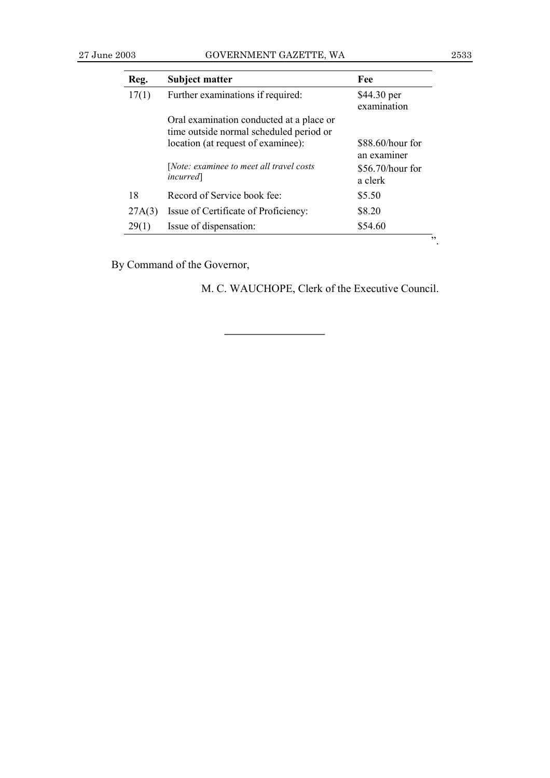## 27 June 2003 GOVERNMENT GAZETTE, WA 2533

| Reg.   | <b>Subject matter</b>                                                               | Fee                               |
|--------|-------------------------------------------------------------------------------------|-----------------------------------|
| 17(1)  | Further examinations if required:                                                   | \$44.30 per<br>examination        |
|        | Oral examination conducted at a place or<br>time outside normal scheduled period or |                                   |
|        | location (at request of examinee):                                                  | $$88.60/h$ our for<br>an examiner |
|        | [Note: examinee to meet all travel costs<br><i>incurred</i>                         | $$56.70/h$ our for<br>a clerk     |
| 18     | Record of Service book fee:                                                         | \$5.50                            |
| 27A(3) | Issue of Certificate of Proficiency:                                                | \$8.20                            |
| 29(1)  | Issue of dispensation:                                                              | \$54.60                           |

By Command of the Governor,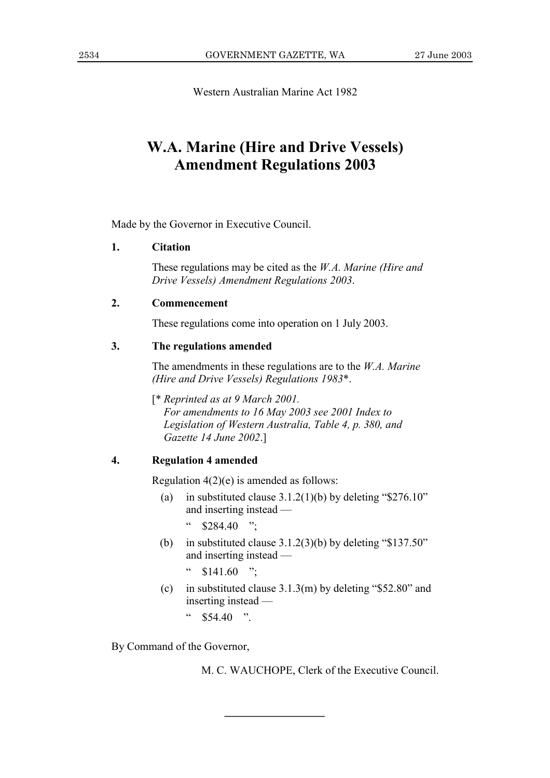Western Australian Marine Act 1982

# **W.A. Marine (Hire and Drive Vessels) Amendment Regulations 2003**

Made by the Governor in Executive Council.

#### $1<sub>1</sub>$ **Citation**

These regulations may be cited as the  $W.A.$  Marine (Hire and Drive Vessels) Amendment Regulations 2003.

#### $2.$ Commencement

These regulations come into operation on 1 July 2003.

#### $3.$ The regulations amended

The amendments in these regulations are to the  $W.A.$  Marine (Hire and Drive Vessels) Regulations 1983\*.

[\* Reprinted as at 9 March 2001.] For amendments to 16 May 2003 see 2001 Index to Legislation of Western Australia, Table 4, p. 380, and Gazette 14 June 2002.]

#### $\overline{4}$ . **Regulation 4 amended**

Regulation  $4(2)(e)$  is amended as follows:

- in substituted clause  $3.1.2(1)(b)$  by deleting "\$276.10"  $(a)$ and inserting instead —
	- $\epsilon\epsilon$  $$284.40$  ":
- (b) in substituted clause  $3.1.2(3)(b)$  by deleting "\$137.50" and inserting instead —

 $$141.60$  ":

(c) in substituted clause  $3.1.3(m)$  by deleting "\$52.80" and inserting instead —

 $\epsilon$  $$5440$  "

By Command of the Governor,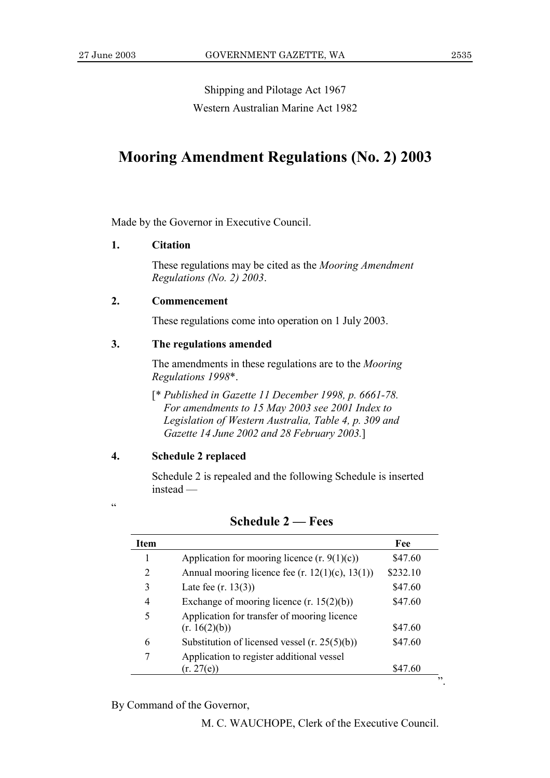Shipping and Pilotage Act 1967 Western Australian Marine Act 1982

# **Mooring Amendment Regulations (No. 2) 2003**

Made by the Governor in Executive Council.

### **1. Citation**

These regulations may be cited as the *Mooring Amendment Regulations (No. 2) 2003*.

## **2. Commencement**

These regulations come into operation on 1 July 2003.

# **3. The regulations amended**

The amendments in these regulations are to the *Mooring Regulations 1998*\*.

[\* *Published in Gazette 11 December 1998, p. 6661-78. For amendments to 15 May 2003 see 2001 Index to Legislation of Western Australia, Table 4, p. 309 and Gazette 14 June 2002 and 28 February 2003.*]

# **4. Schedule 2 replaced**

ì

Schedule 2 is repealed and the following Schedule is inserted  $instead -$ 

| <b>Item</b> |                                                              | Fee      |
|-------------|--------------------------------------------------------------|----------|
| 1           | Application for mooring licence $(r. 9(1)(c))$               | \$47.60  |
| 2           | Annual mooring licence fee (r. $12(1)(c)$ , $13(1)$ )        | \$232.10 |
| 3           | Late fee $(r. 13(3))$                                        | \$47.60  |
| 4           | Exchange of mooring licence $(r. 15(2)(b))$                  | \$47.60  |
| 5           | Application for transfer of mooring licence<br>(r. 16(2)(b)) | \$47.60  |
| 6           | Substitution of licensed vessel $(r. 25(5)(b))$              | \$47.60  |
| 7           | Application to register additional vessel<br>(r. 27(e))      | \$47.60  |

## **Schedule 2 – Fees**

By Command of the Governor,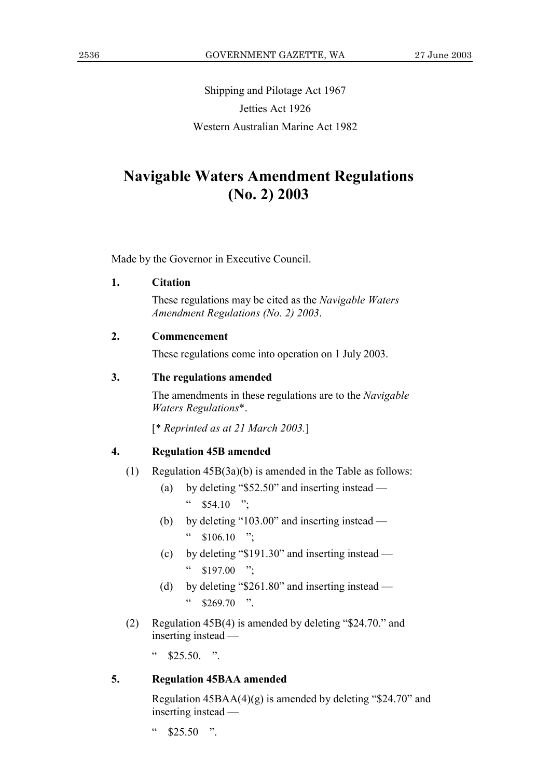Shipping and Pilotage Act 1967 Jetties Act 1926 Western Australian Marine Act 1982

# **Navigable Waters Amendment Regulations**  $(No. 2) 2003$

Made by the Governor in Executive Council.

#### 1. **Citation**

These regulations may be cited as the Navigable Waters Amendment Regulations (No. 2) 2003.

#### $2.$ Commencement

These regulations come into operation on 1 July 2003.

#### $3.$ The regulations amended

The amendments in these regulations are to the Navigable Waters Regulations\*.

 $[*$  Reprinted as at 21 March 2003.]

#### $\overline{4}$ . **Regulation 45B amended**

- $(1)$ Regulation  $45B(3a)(b)$  is amended in the Table as follows:
	- by deleting " $$52.50"$  and inserting instead  $(a)$  $\epsilon\,\epsilon$  $$54.10$  ";
	- (b) by deleting "103.00" and inserting instead  $\zeta\,\zeta$  $$106.10$  ";
	- (c) by deleting " $$191.30"$  and inserting instead  $\epsilon\epsilon$  $$197.00$  ":
	- (d) by deleting " $$261.80"$  and inserting instead  $\mathsf{cc}$  $$269.70$  ".
- Regulation 45B(4) is amended by deleting "\$24.70." and  $(2)$ inserting instead —

 $\mathfrak{c}\,\mathfrak{c}$  $$25.50$  "

#### $\overline{5}$ . **Regulation 45BAA amended**

Regulation  $45BAA(4)(g)$  is amended by deleting "\$24.70" and inserting instead -

 $\zeta$   $\zeta$  $$25.50$  "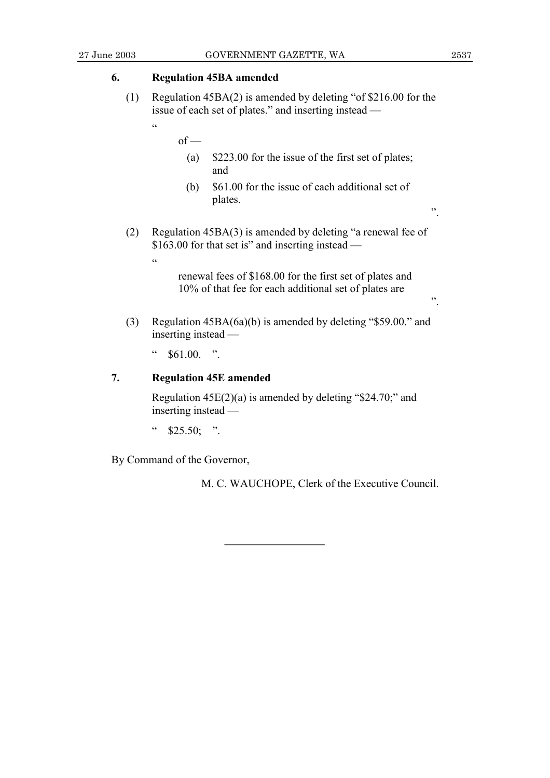$,$ 

 $\ddot{\phantom{0}}$ 

#### 6. **Regulation 45BA amended**

- $(1)$ Regulation  $45BA(2)$  is amended by deleting "of \$216.00 for the issue of each set of plates." and inserting instead
	- $of -$ 
		- \$223.00 for the issue of the first set of plates;  $(a)$ and
		- \$61.00 for the issue of each additional set of  $(b)$ plates.
- $(2)$ Regulation 45BA(3) is amended by deleting "a renewal fee of \$163.00 for that set is" and inserting instead —
	- $\overline{66}$

 $\overline{a}$ 

renewal fees of \$168.00 for the first set of plates and 10% of that fee for each additional set of plates are

- Regulation 45BA(6a)(b) is amended by deleting "\$59.00." and  $(3)$ inserting instead —
	- $\overline{\mathcal{L}}$  $$61.00$ . ".

#### 7. **Regulation 45E amended**

Regulation  $45E(2)(a)$  is amended by deleting "\$24.70;" and inserting instead -

 $\epsilon$  $$25.50;$  ".

By Command of the Governor,